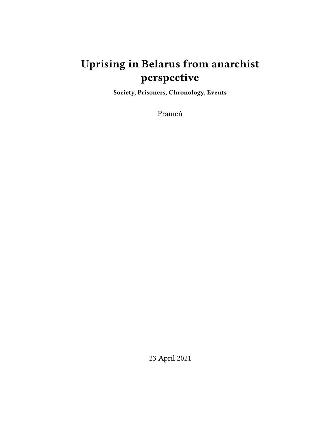# **Uprising in Belarus from anarchist perspective**

**Society, Prisoners, Chronology, Events**

Prameń

23 April 2021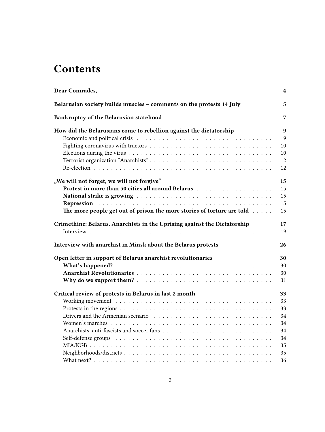## **Contents**

| Dear Comrades,                                                                   | 4              |
|----------------------------------------------------------------------------------|----------------|
| Belarusian society builds muscles - comments on the protests 14 July             | 5              |
| Bankruptcy of the Belarusian statehood                                           | $\overline{7}$ |
| How did the Belarusians come to rebellion against the dictatorship               | 9              |
|                                                                                  | 9              |
|                                                                                  | 10             |
|                                                                                  | 10             |
|                                                                                  | 12             |
|                                                                                  | 12             |
| "We will not forget, we will not forgive"                                        | 15             |
|                                                                                  | 15             |
|                                                                                  | 15             |
| Repression                                                                       | 15             |
| The more people get out of prison the more stories of torture are told $\dots$ . | 15             |
| Crimethinc: Belarus. Anarchists in the Uprising against the Dictatorship         | 17             |
|                                                                                  | 19             |
|                                                                                  |                |
| Interview with anarchist in Minsk about the Belarus protests                     | 26             |
| Open letter in support of Belarus anarchist revolutionaries<br>30                |                |
|                                                                                  | 30             |
|                                                                                  | 30             |
|                                                                                  | 31             |
| Critical review of protests in Belarus in last 2 month<br>33                     |                |
|                                                                                  | 33             |
|                                                                                  | 33             |
|                                                                                  | 34             |
|                                                                                  | 34             |
|                                                                                  | 34             |
|                                                                                  | 34             |
|                                                                                  | 35             |
|                                                                                  | 35             |
|                                                                                  | 36             |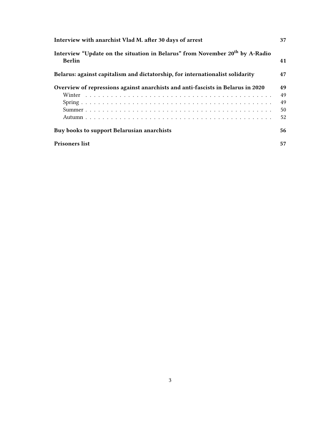| Interview with anarchist Vlad M. after 30 days of arrest                                                  | 37 |
|-----------------------------------------------------------------------------------------------------------|----|
| Interview "Update on the situation in Belarus" from November 20 <sup>th</sup> by A-Radio<br><b>Berlin</b> | 41 |
| Belarus: against capitalism and dictatorship, for internationalist solidarity                             | 47 |
| Overview of repressions against anarchists and anti-fascists in Belarus in 2020                           | 49 |
|                                                                                                           | 49 |
|                                                                                                           | 49 |
|                                                                                                           | 50 |
|                                                                                                           | 52 |
| Buy books to support Belarusian anarchists                                                                | 56 |
| <b>Prisoners list</b>                                                                                     | 57 |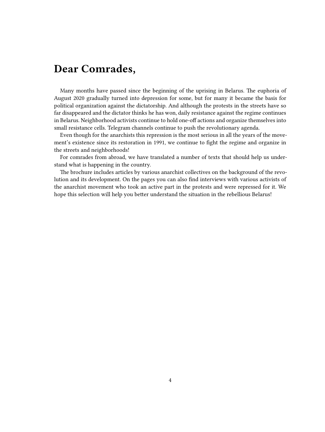## <span id="page-3-0"></span>**Dear Comrades,**

Many months have passed since the beginning of the uprising in Belarus. The euphoria of August 2020 gradually turned into depression for some, but for many it became the basis for political organization against the dictatorship. And although the protests in the streets have so far disappeared and the dictator thinks he has won, daily resistance against the regime continues in Belarus. Neighborhood activists continue to hold one-off actions and organize themselves into small resistance cells. Telegram channels continue to push the revolutionary agenda.

Even though for the anarchists this repression is the most serious in all the years of the movement's existence since its restoration in 1991, we continue to fight the regime and organize in the streets and neighborhoods!

For comrades from abroad, we have translated a number of texts that should help us understand what is happening in the country.

The brochure includes articles by various anarchist collectives on the background of the revolution and its development. On the pages you can also find interviews with various activists of the anarchist movement who took an active part in the protests and were repressed for it. We hope this selection will help you better understand the situation in the rebellious Belarus!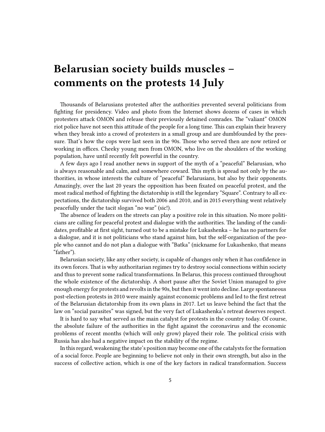# <span id="page-4-0"></span>**Belarusian society builds muscles – comments on the protests 14 July**

Thousands of Belarusians protested after the authorities prevented several politicians from fighting for presidency. Video and photo from the Internet shows dozens of cases in which protesters attack OMON and release their previously detained comrades. The "valiant" OMON riot police have not seen this attitude of the people for a long time. This can explain their bravery when they break into a crowd of protesters in a small group and are dumbfounded by the pressure. That's how the cops were last seen in the 90s. Those who served then are now retired or working in offices. Cheeky young men from OMON, who live on the shoulders of the working population, have until recently felt powerful in the country.

A few days ago I read another news in support of the myth of a "peaceful" Belarusian, who is always reasonable and calm, and somewhere coward. This myth is spread not only by the authorities, in whose interests the culture of "peaceful" Belarusians, but also by their opponents. Amazingly, over the last 20 years the opposition has been fixated on peaceful protest, and the most radical method of fighting the dictatorship is still the legendary "Square". Contrary to all expectations, the dictatorship survived both 2006 and 2010, and in 2015 everything went relatively peacefully under the tacit slogan "no war" (sic!).

The absence of leaders on the streets can play a positive role in this situation. No more politicians are calling for peaceful protest and dialogue with the authorities. The landing of the candidates, profitable at first sight, turned out to be a mistake for Lukashenka – he has no partners for a dialogue, and it is not politicians who stand against him, but the self-organization of the people who cannot and do not plan a dialogue with "Batka" (nickname for Lukashenko, that means "father").

Belarusian society, like any other society, is capable of changes only when it has confidence in its own forces. That is why authoritarian regimes try to destroy social connections within society and thus to prevent some radical transformations. In Belarus, this process continued throughout the whole existence of the dictatorship. A short pause after the Soviet Union managed to give enough energy for protests and revolts in the 90s, but then it went into decline. Large spontaneous post-election protests in 2010 were mainly against economic problems and led to the first retreat of the Belarusian dictatorship from its own plans in 2017. Let us leave behind the fact that the law on "social parasites" was signed, but the very fact of Lukashenka's retreat deserves respect.

It is hard to say what served as the main catalyst for protests in the country today. Of course, the absolute failure of the authorities in the fight against the coronavirus and the economic problems of recent months (which will only grow) played their role. The political crisis with Russia has also had a negative impact on the stability of the regime.

In this regard, weakening the state's position may become one of the catalysts for the formation of a social force. People are beginning to believe not only in their own strength, but also in the success of collective action, which is one of the key factors in radical transformation. Success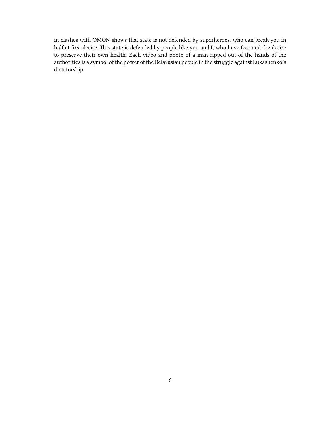in clashes with OMON shows that state is not defended by superheroes, who can break you in half at first desire. This state is defended by people like you and I, who have fear and the desire to preserve their own health. Each video and photo of a man ripped out of the hands of the authorities is a symbol of the power of the Belarusian people in the struggle against Lukashenko's dictatorship.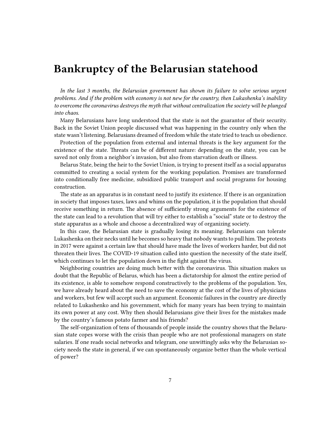## <span id="page-6-0"></span>**Bankruptcy of the Belarusian statehood**

*In the last 3 months, the Belarusian government has shown its failure to solve serious urgent problems. And if the problem with economy is not new for the country, then Lukashenka's inability to overcome the coronavirus destroys the myth that without centralization the society will be plunged into chaos.*

Many Belarusians have long understood that the state is not the guarantor of their security. Back in the Soviet Union people discussed what was happening in the country only when the state wasn't listening. Belarusians dreamed of freedom while the state tried to teach us obedience.

Protection of the population from external and internal threats is the key argument for the existence of the state. Threats can be of different nature: depending on the state, you can be saved not only from a neighbor's invasion, but also from starvation death or illness.

Belarus State, being the heir to the Soviet Union, is trying to present itself as a social apparatus committed to creating a social system for the working population. Promises are transformed into conditionally free medicine, subsidized public transport and social programs for housing construction.

The state as an apparatus is in constant need to justify its existence. If there is an organization in society that imposes taxes, laws and whims on the population, it is the population that should receive something in return. The absence of sufficiently strong arguments for the existence of the state can lead to a revolution that will try either to establish a "social" state or to destroy the state apparatus as a whole and choose a decentralized way of organizing society.

In this case, the Belarusian state is gradually losing its meaning. Belarusians can tolerate Lukashenka on their necks until he becomes so heavy that nobody wants to pull him. The protests in 2017 were against a certain law that should have made the lives of workers harder, but did not threaten their lives. The COVID-19 situation called into question the necessity of the state itself, which continues to let the population down in the fight against the virus.

Neighboring countries are doing much better with the coronavirus. This situation makes us doubt that the Republic of Belarus, which has been a dictatorship for almost the entire period of its existence, is able to somehow respond constructively to the problems of the population. Yes, we have already heard about the need to save the economy at the cost of the lives of physicians and workers, but few will accept such an argument. Economic failures in the country are directly related to Lukashenko and his government, which for many years has been trying to maintain its own power at any cost. Why then should Belarusians give their lives for the mistakes made by the country's famous potato farmer and his friends?

The self-organization of tens of thousands of people inside the country shows that the Belarusian state copes worse with the crisis than people who are not professional managers on state salaries. If one reads social networks and telegram, one unwittingly asks why the Belarusian society needs the state in general, if we can spontaneously organize better than the whole vertical of power?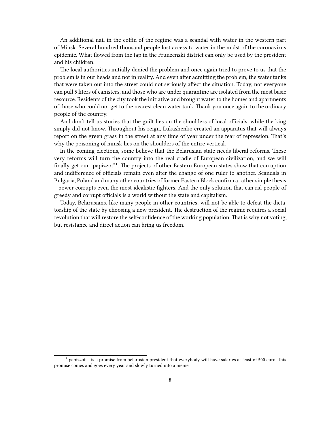An additional nail in the coffin of the regime was a scandal with water in the western part of Minsk. Several hundred thousand people lost access to water in the midst of the coronavirus epidemic. What flowed from the tap in the Frunzenski district can only be used by the president and his children.

The local authorities initially denied the problem and once again tried to prove to us that the problem is in our heads and not in reality. And even after admitting the problem, the water tanks that were taken out into the street could not seriously affect the situation. Today, not everyone can pull 5 liters of canisters, and those who are under quarantine are isolated from the most basic resource. Residents of the city took the initiative and brought water to the homes and apartments of those who could not get to the nearest clean water tank. Thank you once again to the ordinary people of the country.

And don't tell us stories that the guilt lies on the shoulders of local officials, while the king simply did not know. Throughout his reign, Lukashenko created an apparatus that will always report on the green grass in the street at any time of year under the fear of repression. That's why the poisoning of minsk lies on the shoulders of the entire vertical.

In the coming elections, some believe that the Belarusian state needs liberal reforms. These very reforms will turn the country into the real cradle of European civilization, and we will finally get our "papizzot"<sup>1</sup>. The projects of other Eastern European states show that corruption and indifference of officials remain even after the change of one ruler to another. Scandals in Bulgaria, Poland and many other countries of former Eastern Block confirm a rather simple thesis – power corrupts even the most idealistic fighters. And the only solution that can rid people of greedy and corrupt officials is a world without the state and capitalism.

Today, Belarusians, like many people in other countries, will not be able to defeat the dictatorship of the state by choosing a new president. The destruction of the regime requires a social revolution that will restore the self-confidence of the working population. That is why not voting, but resistance and direct action can bring us freedom.

<sup>&</sup>lt;sup>1</sup> papizzot – is a promise from belarusian president that everybody will have salaries at least of 500 euro. This promise comes and goes every year and slowly turned into a meme.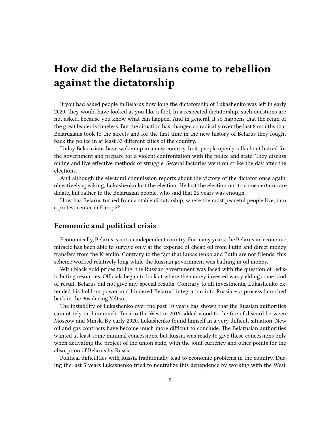## <span id="page-8-0"></span>**How did the Belarusians come to rebellion against the dictatorship**

If you had asked people in Belarus how long the dictatorship of Lukashenko was left in early 2020, they would have looked at you like a fool. In a respected dictatorship, such questions are not asked, because you know what can happen. And in general, it so happens that the reign of the great leader is timeless. But the situation has changed so radically over the last 8 months that Belarusians took to the streets and for the first time in the new history of Belarus they fought back the police in at least 33 different cities of the country.

Today Belarusians have woken up in a new country. In it, people openly talk about hatred for the government and prepare for a violent confrontation with the police and state. They discuss online and live effective methods of struggle. Several factories went on strike the day after the elections.

And although the electoral commission reports about the victory of the dictator once again, objectively speaking, Lukashenko lost the election. He lost the election not to some certain candidate, but rather to the Belarusian people, who said that 26 years was enough.

How has Belarus turned from a stable dictatorship, where the most peaceful people live, into a protest center in Europe?

## <span id="page-8-1"></span>**Economic and political crisis**

Economically, Belarus is not an independent country. For many years, the Belarusian economic miracle has been able to survive only at the expense of cheap oil from Putin and direct money transfers from the Kremlin. Contrary to the fact that Lukashenko and Putin are not friends, this scheme worked relatively long while the Russian government was bathing in oil money.

With black gold prices falling, the Russian government was faced with the question of redistributing resources. Officials began to look at where the money invested was yielding some kind of result. Belarus did not give any special results. Contrary to all investments, Lukashenko extended his hold on power and hindered Belarus' integration into Russia – a process launched back in the 90s during Yeltsin.

The instability of Lukashenko over the past 10 years has shown that the Russian authorities cannot rely on him much. Turn to the West in 2015 added wood to the fire of discord between Moscow and Minsk. By early 2020, Lukashenko found himself in a very difficult situation. New oil and gas contracts have become much more difficult to conclude. The Belarusian authorities wanted at least some minimal concessions, but Russia was ready to give these concessions only when activating the project of the union state, with the joint currency and other points for the absorption of Belarus by Russia.

Political difficulties with Russia traditionally lead to economic problems in the country. During the last 5 years Lukashenko tried to neutralize this dependence by working with the West,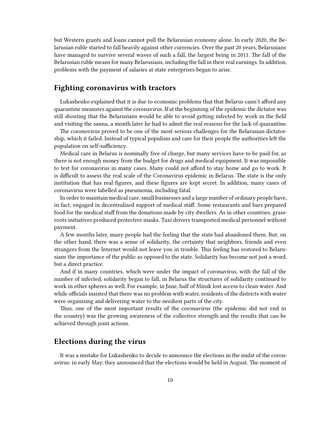but Western grants and loans cannot pull the Belarusian economy alone. In early 2020, the Belarusian ruble started to fall heavily against other currencies. Over the past 20 years, Belarusians have managed to survive several waves of such a fall, the largest being in 2011. The fall of the Belarusian ruble means for many Belarusians, including the fall in their real earnings. In addition, problems with the payment of salaries at state enterprises began to arise.

## <span id="page-9-0"></span>**Fighting coronavirus with tractors**

Lukashenko explained that it is due to economic problems that that Belarus cann't afford any quarantine measures against the coronavirus. If at the beginning of the epidemic the dictator was still shouting that the Belarusians would be able to avoid getting infected by work in the field and visiting the sauna, a month later he had to admit the real reasons for the lack of quarantine.

The coronovirus proved to be one of the most serious challenges for the Belarusian dictatorship, which it failed. Instead of typical populism and care for their people the authorities left the population on self-sufficiency.

Medical care in Belarus is nominally free of charge, but many services have to be paid for, as there is not enough money from the budget for drugs and medical equipment. It was impossible to test for coronavirus in many cases. Many could not afford to stay home and go to work. It is difficult to assess the real scale of the Coronavirus epidemic in Belarus. The state is the only institution that has real figures, and these figures are kept secret. In addition, many cases of coronavirus were labelled as pneumonia, including fatal.

In order to maintain medical care, small businesses and a large number of ordinary people have, in fact, engaged in decentralized support of medical staff. Some restaurants and bars prepared food for the medical staff from the donations made by city dwellers. As in other countries, grassroots initiatives produced protective masks. Taxi drivers transported medical personnel without payment.

A few months later, many people had the feeling that the state had abandoned them. But, on the other hand, there was a sense of solidarity, the certainty that neighbors, friends and even strangers from the Internet would not leave you in trouble. This feeling has restored to Belarusians the importance of the public as opposed to the state. Solidarity has become not just a word, but a direct practice.

And if in many countries, which were under the impact of coronavirus, with the fall of the number of infected, solidarity began to fall, in Belarus the structures of solidarity continued to work in other spheres as well. For example, in June, half of Minsk lost access to clean water. And while officials insisted that there was no problem with water, residents of the districts with water were organizing and delivering water to the neediest parts of the city.

Thus, one of the most important results of the coronavirus (the epidemic did not end in the country) was the growing awareness of the collective strength and the results that can be achieved through joint actions.

## <span id="page-9-1"></span>**Elections during the virus**

It was a mistake for Lukashenko to decide to announce the elections in the midst of the coronavirus: in early May, they announced that the elections would be held in August. The moment of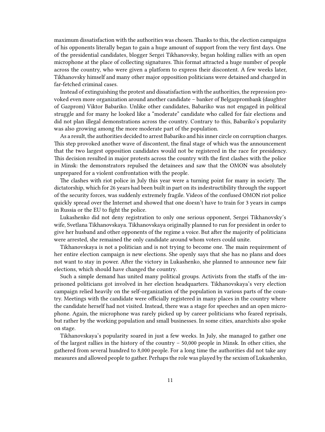maximum dissatisfaction with the authorities was chosen. Thanks to this, the election campaigns of his opponents literally began to gain a huge amount of support from the very first days. One of the presidential candidates, blogger Sergei Tikhanovsky, began holding rallies with an open microphone at the place of collecting signatures. This format attracted a huge number of people across the country, who were given a platform to express their discontent. A few weeks later, Tikhanovsky himself and many other major opposition politicians were detained and charged in far-fetched criminal cases.

Instead of extinguishing the protest and dissatisfaction with the authorities, the repression provoked even more organization around another candidate – banker of Belgazprombank (daughter of Gazprom) Viktor Babariko. Unlike other candidates, Babariko was not engaged in political struggle and for many he looked like a "moderate" candidate who called for fair elections and did not plan illegal demonstrations across the country. Contrary to this, Babariko's popularity was also growing among the more moderate part of the population.

As a result, the authorities decided to arrest Babariko and his inner circle on corruption charges. This step provoked another wave of discontent, the final stage of which was the announcement that the two largest opposition candidates would not be registered in the race for presidency. This decision resulted in major protests across the country with the first clashes with the police in Minsk: the demonstrators repulsed the detainees and saw that the OMON was absolutely unprepared for a violent confrontation with the people.

The clashes with riot police in July this year were a turning point for many in society. The dictatorship, which for 26 years had been built in part on its indestructibility through the support of the security forces, was suddenly extremely fragile. Videos of the confused OMON riot police quickly spread over the Internet and showed that one doesn't have to train for 3 years in camps in Russia or the EU to fight the police.

Lukashenko did not deny registration to only one serious opponent, Sergei Tikhanovsky's wife, Svetlana Tikhanovskaya. Tikhanovskaya originally planned to run for president in order to give her husband and other opponents of the regime a voice. But after the majority of politicians were arrested, she remained the only candidate around whom voters could unite.

Tikhanovskaya is not a politician and is not trying to become one. The main requirement of her entire election campaign is new elections. She openly says that she has no plans and does not want to stay in power. After the victory in Lukashenko, she planned to announce new fair elections, which should have changed the country.

Such a simple demand has united many political groups. Activists from the staffs of the imprisoned politicians got involved in her election headquarters. Tikhanovskaya's very election campaign relied heavily on the self-organization of the population in various parts of the country. Meetings with the candidate were officially registered in many places in the country where the candidate herself had not visited. Instead, there was a stage for speeches and an open microphone. Again, the microphone was rarely picked up by career politicians who feared reprisals, but rather by the working population and small businesses. In some cities, anarchists also spoke on stage.

Tikhanovskaya's popularity soared in just a few weeks. In July, she managed to gather one of the largest rallies in the history of the country – 50,000 people in Minsk. In other cities, she gathered from several hundred to 8,000 people. For a long time the authorities did not take any measures and allowed people to gather. Perhaps the role was played by the sexism of Lukashenko,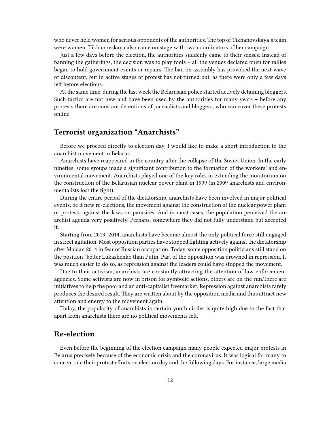who never held women for serious opponents of the authorities. The top of Tikhanovskaya's team were women. Tikhanovskaya also came on stage with two coordinators of her campaign.

Just a few days before the election, the authorities suddenly came to their senses. Instead of banning the gatherings, the decision was to play fools – all the venues declared open for rallies began to hold government events or repairs. The ban on assembly has provoked the next wave of discontent, but in active stages of protest has not turned out, as there were only a few days left before elections.

At the same time, during the last week the Belarusian police started actively detaining bloggers. Such tactics are not new and have been used by the authorities for many years – before any protests there are constant detentions of journalists and bloggers, who can cover these protests online.

## <span id="page-11-0"></span>**Terrorist organization "Anarchists"**

Before we proceed directly to election day, I would like to make a short introduction to the anarchist movement in Belarus.

Anarchists have reappeared in the country after the collapse of the Soviet Union. In the early nineties, some groups made a significant contribution to the formation of the workers' and environmental movement. Anarchists played one of the key roles in extending the moratorium on the construction of the Belarusian nuclear power plant in 1999 (in 2009 anarchists and environmentalists lost the fight).

During the entire period of the dictatorship, anarchists have been involved in major political events, be it new re-elections, the movement against the construction of the nuclear power plant or protests against the laws on parasites. And in most cases, the population perceived the anarchist agenda very positively. Perhaps, somewhere they did not fully understand but accepted it.

Starting from 2013–2014, anarchists have become almost the only political force still engaged in street agitation. Most opposition parties have stopped fighting actively against the dictatorship after Maidan 2014 in fear of Russian occupation. Today, some opposition politicians still stand on the position "better Lukashenko than Putin. Part of the opposition was drowned in repression. It was much easier to do so, as repression against the leaders could have stopped the movement.

Due to their activism, anarchists are constantly attracting the attention of law enforcement agencies. Some activists are now in prison for symbolic actions, others are on the run.There are initiatives to help the poor and an anti-capitalist freemarket. Repression against anarchists rarely produces the desired result. They are written about by the opposition media and thus attract new attention and energy to the movement again.

Today, the popularity of anarchists in certain youth circles is quite high due to the fact that apart from anarchists there are no political movements left.

## <span id="page-11-1"></span>**Re-election**

Even before the beginning of the election campaign many people expected major protests in Belarus precisely because of the economic crisis and the coronavirus. It was logical for many to concentrate their protest efforts on election day and the following days. For instance, large media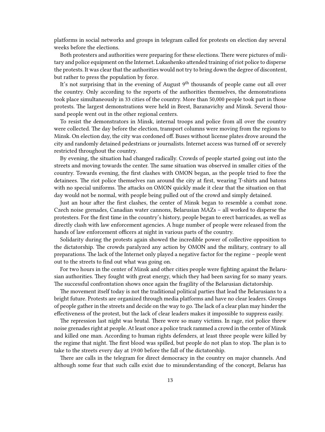platforms in social networks and groups in telegram called for protests on election day several weeks before the elections.

Both protesters and authorities were preparing for these elections. There were pictures of military and police equipment on the Internet. Lukashenko attended training of riot police to disperse the protests. It was clear that the authorities would not try to bring down the degree of discontent, but rather to press the population by force.

It's not surprising that in the evening of August  $9<sup>th</sup>$  thousands of people came out all over the country. Only according to the reports of the authorities themselves, the demonstrations took place simultaneously in 33 cities of the country. More than 50,000 people took part in those protests. The largest demonstrations were held in Brest, Baranavichy and Minsk. Several thousand people went out in the other regional centers.

To resist the demonstrators in Minsk, internal troops and police from all over the country were collected. The day before the election, transport columns were moving from the regions to Minsk. On election day, the city was cordoned off. Buses without license plates drove around the city and randomly detained pedestrians or journalists. Internet access was turned off or severely restricted throughout the country.

By evening, the situation had changed radically. Crowds of people started going out into the streets and moving towards the center. The same situation was observed in smaller cities of the country. Towards evening, the first clashes with OMON began, as the people tried to free the detainees. The riot police themselves ran around the city at first, wearing T-shirts and batons with no special uniforms. The attacks on OMON quickly made it clear that the situation on that day would not be normal, with people being pulled out of the crowd and simply detained.

Just an hour after the first clashes, the center of Minsk began to resemble a combat zone. Czech noise grenades, Canadian water cannons, Belarusian MAZs – all worked to disperse the protesters. For the first time in the country's history, people began to erect barricades, as well as directly clash with law enforcement agencies. A huge number of people were released from the hands of law enforcement officers at night in various parts of the country.

Solidarity during the protests again showed the incredible power of collective opposition to the dictatorship. The crowds paralyzed any action by OMON and the military, contrary to all preparations. The lack of the Internet only played a negative factor for the regime – people went out to the streets to find out what was going on.

For two hours in the center of Minsk and other cities people were fighting against the Belarusian authorities. They fought with great energy, which they had been saving for so many years. The successful confrontation shows once again the fragility of the Belarusian dictatorship.

The movement itself today is not the traditional political parties that lead the Belarusians to a bright future. Protests are organized through media platforms and have no clear leaders. Groups of people gather in the streets and decide on the way to go. The lack of a clear plan may hinder the effectiveness of the protest, but the lack of clear leaders makes it impossible to suppress easily.

The repression last night was brutal. There were so many victims. In rage, riot police threw noise grenades right at people. At least once a police truck rammed a crowd in the center of Minsk and killed one man. According to human rights defenders, at least three people were killed by the regime that night. The first blood was spilled, but people do not plan to stop. The plan is to take to the streets every day at 19:00 before the fall of the dictatorship.

There are calls in the telegram for direct democracy in the country on major channels. And although some fear that such calls exist due to misunderstanding of the concept, Belarus has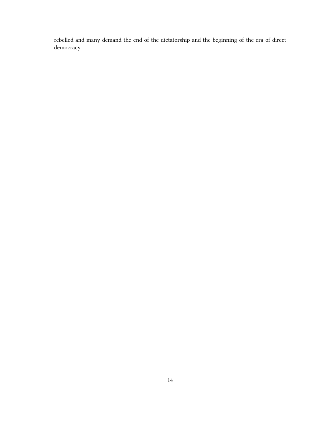rebelled and many demand the end of the dictatorship and the beginning of the era of direct democracy.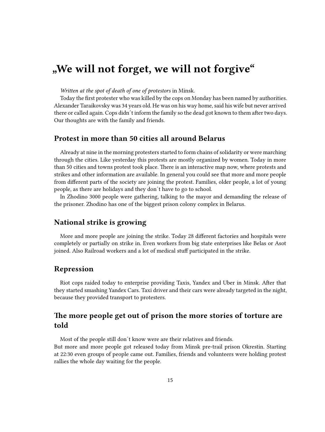## <span id="page-14-0"></span>**"We will not forget, we will not forgive"**

*Written at the spot of death of one of protestors* in Minsk.

Today the first protester who was killed by the cops on Monday has been named by authorities. Alexander Taraikovsky was 34 years old. He was on his way home, said his wife but never arrived there or called again. Cops didn´t inform the family so the dead got known to them after two days. Our thoughts are with the family and friends.

### <span id="page-14-1"></span>**Protest in more than 50 cities all around Belarus**

Already at nine in the morning protesters started to form chains of solidarity or were marching through the cities. Like yesterday this protests are mostly organized by women. Today in more than 50 cities and towns protest took place. There is an interactive map now, where protests and strikes and other information are available. In general you could see that more and more people from different parts of the society are joining the protest. Families, older people, a lot of young people, as there are holidays and they don´t have to go to school.

In Zhodino 3000 people were gathering, talking to the mayor and demanding the release of the prisoner. Zhodino has one of the biggest prison colony complex in Belarus.

## <span id="page-14-2"></span>**National strike is growing**

More and more people are joining the strike. Today 28 different factories and hospitals were completely or partially on strike in. Even workers from big state enterprises like Belas or Asot joined. Also Railroad workers and a lot of medical stuff participated in the strike.

## <span id="page-14-3"></span>**Repression**

Riot cops raided today to enterprise providing Taxis, Yandex and Uber in Minsk. After that they started smashing Yandex Cars. Taxi driver and their cars were already targeted in the night, because they provided transport to protesters.

## <span id="page-14-4"></span>**The more people get out of prison the more stories of torture are told**

Most of the people still don´t know were are their relatives and friends. But more and more people got released today from Minsk pre-trail prison Okrestin. Starting at 22:30 even groups of people came out. Families, friends and volunteers were holding protest rallies the whole day waiting for the people.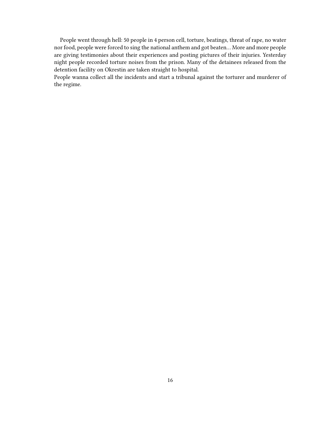People went through hell: 50 people in 4 person cell, torture, beatings, threat of rape, no water nor food, people were forced to sing the national anthem and got beaten… More and more people are giving testimonies about their experiences and posting pictures of their injuries. Yesterday night people recorded torture noises from the prison. Many of the detainees released from the detention facility on Okrestin are taken straight to hospital.

People wanna collect all the incidents and start a tribunal against the torturer and murderer of the regime.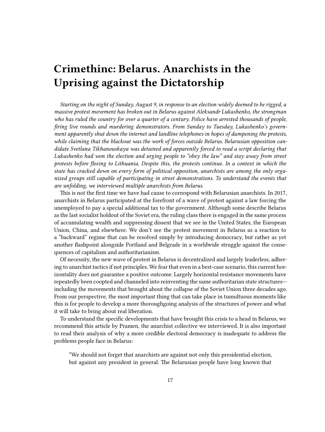## <span id="page-16-0"></span>**Crimethinc: Belarus. Anarchists in the Uprising against the Dictatorship**

*Starting on the night of Sunday, August 9, in response to an election widely deemed to be rigged, a massive protest movement has broken out in Belarus against Aleksandr Lukashenko, the strongman who has ruled the country for over a quarter of a century. Police have arrested thousands of people, firing live rounds and murdering demonstrators. From Sunday to Tuesday, Lukashenko's government apparently shut down the internet and landline telephones in hopes of dampening the protests, while claiming that the blackout was the work of forces outside Belarus. Belarusian opposition candidate Svetlana Tikhanouskaya was detained and apparently forced to read a script declaring that Lukashenko had won the election and urging people to "obey the law" and stay away from street protests before fleeing to Lithuania. Despite this, the protests continue. In a context in which the state has cracked down on every form of political opposition, anarchists are among the only organized groups still capable of participating in street demonstrations. To understand the events that are unfolding, we interviewed multiple anarchists from Belarus.*

This is not the first time we have had cause to correspond with Belarusian anarchists. In 2017, anarchists in Belarus participated at the forefront of a wave of protest against a law forcing the unemployed to pay a special additional tax to the government. Although some describe Belarus as the last socialist holdout of the Soviet era, the ruling class there is engaged in the same process of accumulating wealth and suppressing dissent that we see in the United States, the European Union, China, and elsewhere. We don't see the protest movement in Belarus as a reaction to a "backward" regime that can be resolved simply by introducing democracy, but rather as yet another flashpoint alongside Portland and Belgrade in a worldwide struggle against the consequences of capitalism and authoritarianism.

Of necessity, the new wave of protest in Belarus is decentralized and largely leaderless, adhering to anarchist tactics if not principles. We fear that even in a best-case scenario, this current horizontality does not guarantee a positive outcome. Largely horizontal resistance movements have repeatedly been coopted and channeled into reinventing the same authoritarian state structures including the movements that brought about the collapse of the Soviet Union three decades ago. From our perspective, the most important thing that can take place in tumultuous moments like this is for people to develop a more thoroughgoing analysis of the structures of power and what it will take to bring about real liberation.

To understand the specific developments that have brought this crisis to a head in Belarus, we recommend this article by Pramen, the anarchist collective we interviewed. It is also important to read their analysis of why a more credible electoral democracy is inadequate to address the problems people face in Belarus:

"We should not forget that anarchists are against not only this presidential election, but against any president in general. The Belarusian people have long known that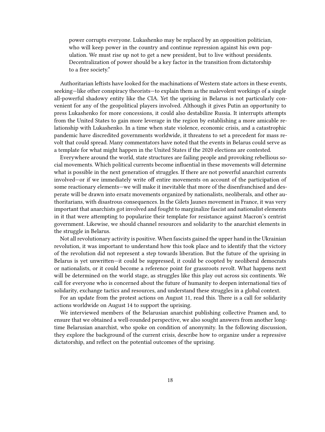power corrupts everyone. Lukashenko may be replaced by an opposition politician, who will keep power in the country and continue repression against his own population. We must rise up not to get a new president, but to live without presidents. Decentralization of power should be a key factor in the transition from dictatorship to a free society."

Authoritarian leftists have looked for the machinations of Western state actors in these events, seeking—like other conspiracy theorists—to explain them as the malevolent workings of a single all-powerful shadowy entity like the CIA. Yet the uprising in Belarus is not particularly convenient for any of the geopolitical players involved. Although it gives Putin an opportunity to press Lukashenko for more concessions, it could also destabilize Russia. It interrupts attempts from the United States to gain more leverage in the region by establishing a more amicable relationship with Lukashenko. In a time when state violence, economic crisis, and a catastrophic pandemic have discredited governments worldwide, it threatens to set a precedent for mass revolt that could spread. Many commentators have noted that the events in Belarus could serve as a template for what might happen in the United States if the 2020 elections are contested.

Everywhere around the world, state structures are failing people and provoking rebellious social movements. Which political currents become influential in these movements will determine what is possible in the next generation of struggles. If there are not powerful anarchist currents involved—or if we immediately write off entire movements on account of the participation of some reactionary elements—we will make it inevitable that more of the disenfranchised and desperate will be drawn into ersatz movements organized by nationalists, neoliberals, and other authoritarians, with disastrous consequences. In the Gilets Jaunes movement in France, it was very important that anarchists got involved and fought to marginalize fascist and nationalist elements in it that were attempting to popularize their template for resistance against Macron's centrist government. Likewise, we should channel resources and solidarity to the anarchist elements in the struggle in Belarus.

Not all revolutionary activity is positive. When fascists gained the upper hand in the Ukrainian revolution, it was important to understand how this took place and to identify that the victory of the revolution did not represent a step towards liberation. But the future of the uprising in Belarus is yet unwritten—it could be suppressed, it could be coopted by neoliberal democrats or nationalists, or it could become a reference point for grassroots revolt. What happens next will be determined on the world stage, as struggles like this play out across six continents. We call for everyone who is concerned about the future of humanity to deepen international ties of solidarity, exchange tactics and resources, and understand these struggles in a global context.

For an update from the protest actions on August 11, read this. There is a call for solidarity actions worldwide on August 14 to support the uprising.

We interviewed members of the Belarusian anarchist publishing collective Pramen and, to ensure that we obtained a well-rounded perspective, we also sought answers from another longtime Belarusian anarchist, who spoke on condition of anonymity. In the following discussion, they explore the background of the current crisis, describe how to organize under a repressive dictatorship, and reflect on the potential outcomes of the uprising.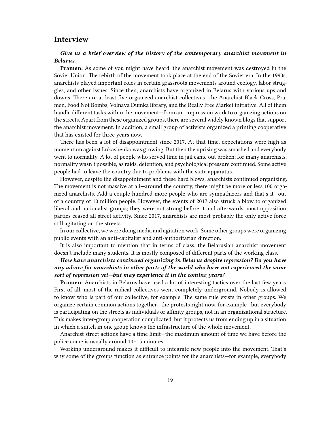## <span id="page-18-0"></span>**Interview**

#### *Give us a brief overview of the history of the contemporary anarchist movement in Belarus.*

**Pramen:** As some of you might have heard, the anarchist movement was destroyed in the Soviet Union. The rebirth of the movement took place at the end of the Soviet era. In the 1990s, anarchists played important roles in certain grassroots movements around ecology, labor struggles, and other issues. Since then, anarchists have organized in Belarus with various ups and downs. There are at least five organized anarchist collectives—the Anarchist Black Cross, Pramen, Food Not Bombs, Volnaya Dumka library, and the Really Free Market initiative. All of them handle different tasks within the movement—from anti-repression work to organizing actions on the streets. Apart from these organized groups, there are several widely known blogs that support the anarchist movement. In addition, a small group of activists organized a printing cooperative that has existed for three years now.

There has been a lot of disappointment since 2017. At that time, expectations were high as momentum against Lukashenko was growing. But then the uprising was smashed and everybody went to normality. A lot of people who served time in jail came out broken; for many anarchists, normality wasn't possible, as raids, detention, and psychological pressure continued. Some active people had to leave the country due to problems with the state apparatus.

However, despite the disappointment and these hard blows, anarchists continued organizing. The movement is not massive at all—around the country, there might be more or less 100 organized anarchists. Add a couple hundred more people who are sympathizers and that's it—out of a country of 10 million people. However, the events of 2017 also struck a blow to organized liberal and nationalist groups; they were not strong before it and afterwards, most opposition parties ceased all street activity. Since 2017, anarchists are most probably the only active force still agitating on the streets.

In our collective, we were doing media and agitation work. Some other groups were organizing public events with an anti-capitalist and anti-authoritarian direction.

It is also important to mention that in terms of class, the Belarusian anarchist movement doesn't include many students. It is mostly composed of different parts of the working class.

### *How have anarchists continued organizing in Belarus despite repression? Do you have any advice for anarchists in other parts of the world who have not experienced the same sort of repression yet—but may experience it in the coming years?*

**Pramen:** Anarchists in Belarus have used a lot of interesting tactics over the last few years. First of all, most of the radical collectives went completely underground. Nobody is allowed to know who is part of our collective, for example. The same rule exists in other groups. We organize certain common actions together—the protests right now, for example—but everybody is participating on the streets as individuals or affinity groups, not in an organizational structure. This makes inter-group cooperation complicated, but it protects us from ending up in a situation in which a snitch in one group knows the infrastructure of the whole movement.

Anarchist street actions have a time limit—the maximum amount of time we have before the police come is usually around 10–15 minutes.

Working underground makes it difficult to integrate new people into the movement. That's why some of the groups function as entrance points for the anarchists—for example, everybody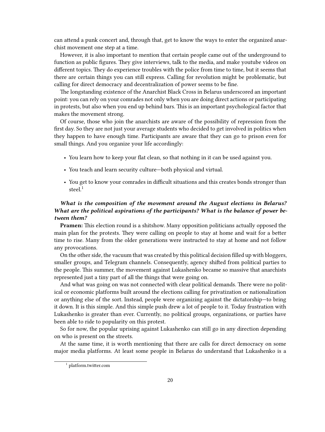can attend a punk concert and, through that, get to know the ways to enter the organized anarchist movement one step at a time.

However, it is also important to mention that certain people came out of the underground to function as public figures. They give interviews, talk to the media, and make youtube videos on different topics. They do experience troubles with the police from time to time, but it seems that there are certain things you can still express. Calling for revolution might be problematic, but calling for direct democracy and decentralization of power seems to be fine.

The longstanding existence of the Anarchist Black Cross in Belarus underscored an important point: you can rely on your comrades not only when you are doing direct actions or participating in protests, but also when you end up behind bars. This is an important psychological factor that makes the movement strong.

Of course, those who join the anarchists are aware of the possibility of repression from the first day. So they are not just your average students who decided to get involved in politics when they happen to have enough time. Participants are aware that they can go to prison even for small things. And you organize your life accordingly:

- You learn how to keep your flat clean, so that nothing in it can be used against you.
- You teach and learn security culture—both physical and virtual.
- You get to know your comrades in difficult situations and this creates bonds stronger than steel.<sup>1</sup>

## *What is the composition of the movement around the August elections in Belarus? What are the political aspirations of the participants? What is the balance of power between them?*

**Pramen:** This election round is a shitshow. Many opposition politicians actually opposed the main plan for the protests. They were calling on people to stay at home and wait for a better time to rise. Many from the older generations were instructed to stay at home and not follow any provocations.

On the other side, the vacuum that was created by this political decision filled up with bloggers, smaller groups, and Telegram channels. Consequently, agency shifted from political parties to the people. This summer, the movement against Lukashenko became so massive that anarchists represented just a tiny part of all the things that were going on.

And what was going on was not connected with clear political demands. There were no political or economic platforms built around the elections calling for privatization or nationalization or anything else of the sort. Instead, people were organizing against the dictatorship—to bring it down. It is this simple. And this simple push drew a lot of people to it. Today frustration with Lukashenko is greater than ever. Currently, no political groups, organizations, or parties have been able to ride to popularity on this protest.

So for now, the popular uprising against Lukashenko can still go in any direction depending on who is present on the streets.

At the same time, it is worth mentioning that there are calls for direct democracy on some major media platforms. At least some people in Belarus do understand that Lukashenko is a

<sup>1</sup> [platform.twitter.com](https://platform.twitter.com/embed/index.html?creatorScreenName=crimethinc&creatorUserId=14884161&dnt=true&embedId=twitter-widget-0&frame=false&hideCard=false&hideThread=false&id=1292956645002280960&lang=en&origin=https%3A%2F%2Fcrimethinc.com%2F2020%2F08%2F12%2Fbelarus-anarchists-in-the-uprising-against-the-dictatorship-an-interview&siteScreenName=crimethinc&siteUserId=14884161&theme=light&widgetsVersion=223fc1c4%3A1596143124634&width=550px)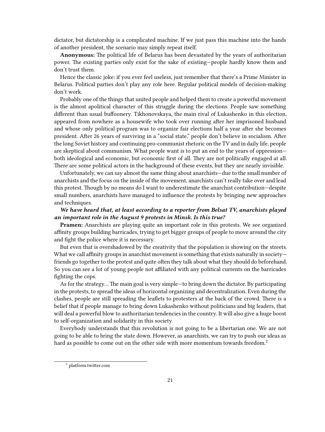dictator, but dictatorship is a complicated machine. If we just pass this machine into the hands of another president, the scenario may simply repeat itself.

**Anonymous:** The political life of Belarus has been devastated by the years of authoritarian power. The existing parties only exist for the sake of existing—people hardly know them and don't trust them.

Hence the classic joke: if you ever feel useless, just remember that there's a Prime Minister in Belarus. Political parties don't play any role here. Regular political models of decision-making don't work.

Probably one of the things that united people and helped them to create a powerful movement is the almost apolitical character of this struggle during the elections. People saw something different than usual buffoonery. Tikhonovskaya, the main rival of Lukashenko in this election, appeared from nowhere as a housewife who took over running after her imprisoned husband and whose only political program was to organize fair elections half a year after she becomes president. After 26 years of surviving in a "social state," people don't believe in socialism. After the long Soviet history and continuing pro-communist rhetoric on the TV and in daily life, people are skeptical about communism. What people want is to put an end to the years of oppression both ideological and economic, but economic first of all. They are not politically engaged at all. There are some political actors in the background of these events, but they are nearly invisible.

Unfortunately, we can say almost the same thing about anarchists—due to the small number of anarchists and the focus on the inside of the movement, anarchists can't really take over and lead this protest. Though by no means do I want to underestimate the anarchist contribution—despite small numbers, anarchists have managed to influence the protests by bringing new approaches and techniques.

### *We have heard that, at least according to a reporter from Belsat TV, anarchists played an important role in the August 9 protests in Minsk. Is this true?*

**Pramen:** Anarchists are playing quite an important role in this protests. We see organized affinity groups building barricades, trying to get bigger groups of people to move around the city and fight the police where it is necessary.

But even that is overshadowed by the creativity that the population is showing on the streets. What we call affinity groups in anarchist movement is something that exists naturally in society friends go together to the protest and quite often they talk about what they should do beforehand. So you can see a lot of young people not affiliated with any political currents on the barricades fighting the cops.

As for the strategy… The main goal is very simple—to bring down the dictator. By participating in the protests, to spread the ideas of horizontal organizing and decentralization. Even during the clashes, people are still spreading the leaflets to protesters at the back of the crowd. There is a belief that if people manage to bring down Lukashenko without politicians and big leaders, that will deal a powerful blow to authoritarian tendencies in the country. It will also give a huge boost to self-organization and solidarity in this society.

Everybody understands that this revolution is not going to be a libertarian one. We are not going to be able to bring the state down. However, as anarchists, we can try to push our ideas as hard as possible to come out on the other side with more momentum towards freedom.<sup>2</sup>

<sup>2</sup> [platform.twitter.com](https://platform.twitter.com/embed/index.html?creatorScreenName=crimethinc&creatorUserId=14884161&dnt=true&embedId=twitter-widget-1&frame=false&hideCard=false&hideThread=false&id=1293231654744535042&lang=en&origin=https%3A%2F%2Fcrimethinc.com%2F2020%2F08%2F12%2Fbelarus-anarchists-in-the-uprising-against-the-dictatorship-an-interview&siteScreenName=crimethinc&siteUserId=14884161&theme=light&widgetsVersion=223fc1c4%3A1596143124634&width=550px)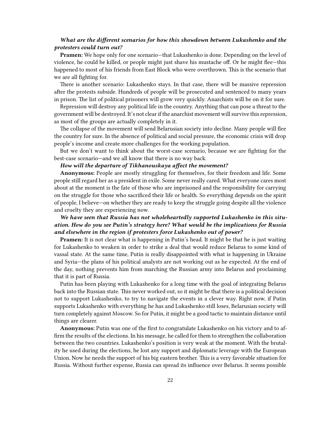#### *What are the different scenarios for how this showdown between Lukashenko and the protesters could turn out?*

**Pramen:** We hope only for one scenario—that Lukashenko is done. Depending on the level of violence, he could be killed, or people might just shave his mustache off. Or he might flee—this happened to most of his friends from East Block who were overthrown. This is the scenario that we are all fighting for.

There is another scenario: Lukashenko stays. In that case, there will be massive repression after the protests subside. Hundreds of people will be prosecuted and sentenced to many years in prison. The list of political prisoners will grow very quickly. Anarchists will be on it for sure.

Repression will destroy any political life in the country. Anything that can pose a threat to the government will be destroyed. It's not clear if the anarchist movement will survive this repression, as most of the groups are actually completely in it.

The collapse of the movement will send Belarusian society into decline. Many people will flee the country for sure. In the absence of political and social pressure, the economic crisis will drop people's income and create more challenges for the working population.

But we don't want to think about the worst-case scenario, because we are fighting for the best-case scenario—and we all know that there is no way back.

#### *How will the departure of Tikhanouskaya affect the movement?*

**Anonymous:** People are mostly struggling for themselves, for their freedom and life. Some people still regard her as a president in exile. Some never really cared. What everyone cares most about at the moment is the fate of those who are imprisoned and the responsibility for carrying on the struggle for those who sacrificed their life or health. So everything depends on the spirit of people, I believe—on whether they are ready to keep the struggle going despite all the violence and cruelty they are experiencing now.

### *We have seen that Russia has not wholeheartedly supported Lukashenko in this situation. How do you see Putin's strategy here? What would be the implications for Russia and elsewhere in the region if protesters force Lukashenko out of power?*

**Pramen:** It is not clear what is happening in Putin's head. It might be that he is just waiting for Lukashenko to weaken in order to strike a deal that would reduce Belarus to some kind of vassal state. At the same time, Putin is really disappointed with what is happening in Ukraine and Syria—the plans of his political analysts are not working out as he expected. At the end of the day, nothing prevents him from marching the Russian army into Belarus and proclaiming that it is part of Russia.

Putin has been playing with Lukashenko for a long time with the goal of integrating Belarus back into the Russian state. This never worked out, so it might be that there is a political decision not to support Lukashenko, to try to navigate the events in a clever way. Right now, if Putin supports Lukashenko with everything he has and Lukashenko still loses, Belarusian society will turn completely against Moscow. So for Putin, it might be a good tactic to maintain distance until things are clearer.

**Anonymous:** Putin was one of the first to congratulate Lukashenko on his victory and to affirm the results of the elections. In his message, he called for them to strengthen the collaboration between the two countries. Lukashenko's position is very weak at the moment. With the brutality he used during the elections, he lost any support and diplomatic leverage with the European Union. Now he needs the support of his big eastern brother. This is a very favorable situation for Russia. Without further expense, Russia can spread its influence over Belarus. It seems possible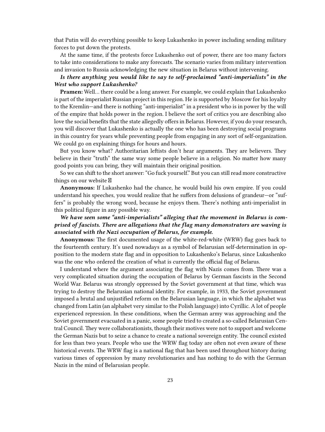that Putin will do everything possible to keep Lukashenko in power including sending military forces to put down the protests.

At the same time, if the protests force Lukashenko out of power, there are too many factors to take into considerations to make any forecasts. The scenario varies from military intervention and invasion to Russia acknowledging the new situation in Belarus without intervening.

#### *Is there anything you would like to say to self-proclaimed "anti-imperialists" in the West who support Lukashenko?*

**Pramen:** Well… there could be a long answer. For example, we could explain that Lukashenko is part of the imperialist Russian project in this region. He is supported by Moscow for his loyalty to the Kremlin—and there is nothing "anti-imperialist" in a president who is in power by the will of the empire that holds power in the region. I believe the sort of critics you are describing also love the social benefits that the state allegedly offers in Belarus. However, if you do your research, you will discover that Lukashenko is actually the one who has been destroying social programs in this country for years while preventing people from engaging in any sort of self-organization. We could go on explaining things for hours and hours.

But you know what? Authoritarian leftists don't hear arguments. They are believers. They believe in their "truth" the same way some people believe in a religion. No matter how many good points you can bring, they will maintain their original position.

So we can shift to the short answer: "Go fuck yourself." But you can still read more constructive things on our website

**Anonymous:** If Lukashenko had the chance, he would build his own empire. If you could understand his speeches, you would realize that he suffers from delusions of grandeur—or "suffers" is probably the wrong word, because he enjoys them. There's nothing anti-imperialist in this political figure in any possible way.

### *We have seen some "anti-imperialists" alleging that the movement in Belarus is comprised of fascists. There are allegations that the flag many demonstrators are waving is associated with the Nazi occupation of Belarus, for example.*

**Anonymous:** The first documented usage of the white-red-white (WRW) flag goes back to the fourteenth century. It's used nowadays as a symbol of Belarusian self-determination in opposition to the modern state flag and in opposition to Lukashenko's Belarus, since Lukashenko was the one who ordered the creation of what is currently the official flag of Belarus.

I understand where the argument associating the flag with Nazis comes from. There was a very complicated situation during the occupation of Belarus by German fascists in the Second World War. Belarus was strongly oppressed by the Soviet government at that time, which was trying to destroy the Belarusian national identity. For example, in 1933, the Soviet government imposed a brutal and unjustified reform on the Belarusian language, in which the alphabet was changed from Latin (an alphabet very similar to the Polish language) into Cyrillic. A lot of people experienced repression. In these conditions, when the German army was approaching and the Soviet government evacuated in a panic, some people tried to created a so-called Belarusian Central Council. They were collaborationists, though their motives were not to support and welcome the German Nazis but to seize a chance to create a national sovereign entity. The council existed for less than two years. People who use the WRW flag today are often not even aware of these historical events. The WRW flag is a national flag that has been used throughout history during various times of oppression by many revolutionaries and has nothing to do with the German Nazis in the mind of Belarusian people.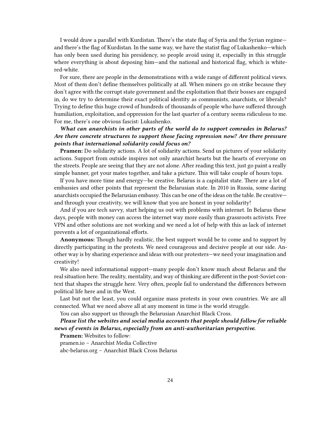I would draw a parallel with Kurdistan. There's the state flag of Syria and the Syrian regime and there's the flag of Kurdistan. In the same way, we have the statist flag of Lukashenko—which has only been used during his presidency, so people avoid using it, especially in this struggle where everything is about deposing him—and the national and historical flag, which is whitered-white.

For sure, there are people in the demonstrations with a wide range of different political views. Most of them don't define themselves politically at all. When miners go on strike because they don't agree with the corrupt state government and the exploitation that their bosses are engaged in, do we try to determine their exact political identity as communists, anarchists, or liberals? Trying to define this huge crowd of hundreds of thousands of people who have suffered through humiliation, exploitation, and oppression for the last quarter of a century seems ridiculous to me. For me, there's one obvious fascist: Lukashenko.

## *What can anarchists in other parts of the world do to support comrades in Belarus? Are there concrete structures to support those facing repression now? Are there pressure points that international solidarity could focus on?*

**Pramen:** Do solidarity actions. A lot of solidarity actions. Send us pictures of your solidarity actions. Support from outside inspires not only anarchist hearts but the hearts of everyone on the streets. People are seeing that they are not alone. After reading this text, just go paint a really simple banner, get your mates together, and take a picture. This will take couple of hours tops.

If you have more time and energy—be creative. Belarus is a capitalist state. There are a lot of embassies and other points that represent the Belarusian state. In 2010 in Russia, some daring anarchists occupied the Belarusian embassy.This can be one of the ideas on the table. Be creative and through your creativity, we will know that you are honest in your solidarity!

And if you are tech savvy, start helping us out with problems with internet. In Belarus these days, people with money can access the internet way more easily than grassroots activists. Free VPN and other solutions are not working and we need a lot of help with this as lack of internet prevents a lot of organizational efforts.

**Anonymous:** Though hardly realistic, the best support would be to come and to support by directly participating in the protests. We need courageous and decisive people at our side. Another way is by sharing experience and ideas with our protesters—we need your imagination and creativity!

We also need informational support—many people don't know much about Belarus and the real situation here. The reality, mentality, and way of thinking are different in the post-Soviet context that shapes the struggle here. Very often, people fail to understand the differences between political life here and in the West.

Last but not the least, you could organize mass protests in your own countries. We are all connected. What we need above all at any moment in time is the world struggle.

You can also support us through the Belarusian Anarchist Black Cross.

### *Please list the websites and social media accounts that people should follow for reliable news of events in Belarus, especially from an anti-authoritarian perspective.*

**Pramen:** Websites to follow:

pramen.io – Anarchist Media Collective

abc-belarus.org – Anarchist Black Cross Belarus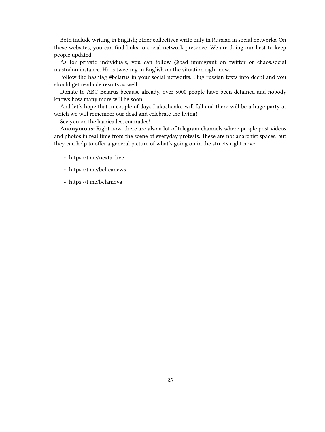Both include writing in English; other collectives write only in Russian in social networks. On these websites, you can find links to social network presence. We are doing our best to keep people updated!

As for private individuals, you can follow @bad\_immigrant on twitter or chaos.social mastodon instance. He is tweeting in English on the situation right now.

Follow the hashtag #belarus in your social networks. Plug russian texts into deepl and you should get readable results as well.

Donate to ABC-Belarus because already, over 5000 people have been detained and nobody knows how many more will be soon.

And let's hope that in couple of days Lukashenko will fall and there will be a huge party at which we will remember our dead and celebrate the living!

See you on the barricades, comrades!

**Anonymous:** Right now, there are also a lot of telegram channels where people post videos and photos in real time from the scene of everyday protests. These are not anarchist spaces, but they can help to offer a general picture of what's going on in the streets right now:

- https://t.me/nexta\_live
- https://t.me/belteanews
- https://t.me/belamova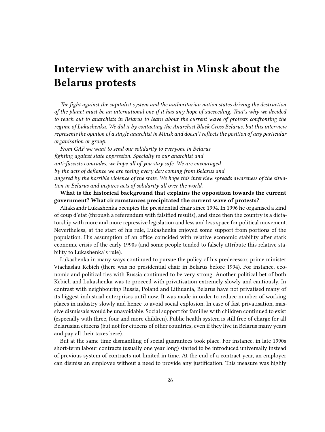# <span id="page-25-0"></span>**Interview with anarchist in Minsk about the Belarus protests**

*The fight against the capitalist system and the authoritarian nation states driving the destruction of the planet must be an international one if it has any hope of succeeding. That's why we decided to reach out to anarchists in Belarus to learn about the current wave of protests confronting the regime of Lukashenka. We did it by contacting the Anarchist Black Cross Belarus, but this interview represents the opinion of a single anarchist in Minsk and doesn't reflects the position of any particular organisation or group.*

*From GAF we want to send our solidarity to everyone in Belarus fighting against state oppression. Specially to our anarchist and anti-fascists comrades, we hope all of you stay safe. We are encouraged by the acts of defiance we are seeing every day coming from Belarus and angered by the horrible violence of the state. We hope this interview spreads awareness of the situation in Belarus and inspires acts of solidarity all over the world.*

**What is the historical background that explains the opposition towards the current government? What circumstances precipitated the current wave of protests?**

Aliaksandr Lukashenka occupies the presidential chair since 1994. In 1996 he organised a kind of coup d'etat (through a referendum with falsified results), and since then the country is a dictatorship with more and more repressive legislation and less and less space for political movement. Nevertheless, at the start of his rule, Lukashenka enjoyed some support from portions of the population. His assumption of an office coincided with relative economic stability after stark economic crisis of the early 1990s (and some people tended to falsely attribute this relative stability to Lukashenka's rule).

Lukashenka in many ways continued to pursue the policy of his predecessor, prime minister Viachaslau Kebich (there was no presidential chair in Belarus before 1994). For instance, economic and political ties with Russia continued to be very strong. Another political bet of both Kebich and Lukashenka was to proceed with privatisation extremely slowly and cautiously. In contrast with neighbouring Russia, Poland and Lithuania, Belarus have not privatised many of its biggest industrial enterprises until now. It was made in order to reduce number of working places in industry slowly and hence to avoid social explosion. In case of fast privatisation, massive dismissals would be unavoidable. Social support for families with children continued to exist (especially with three, four and more children). Public health system is still free of charge for all Belarusian citizens (but not for citizens of other countries, even if they live in Belarus many years and pay all their taxes here).

But at the same time dismantling of social guarantees took place. For instance, in late 1990s short-term labour contracts (usually one year long) started to be introduced universally instead of previous system of contracts not limited in time. At the end of a contract year, an employer can dismiss an employee without a need to provide any justification. This measure was highly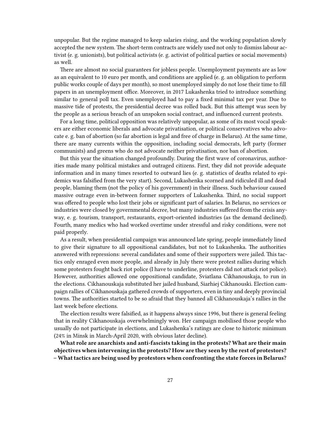unpopular. But the regime managed to keep salaries rising, and the working population slowly accepted the new system. The short-term contracts are widely used not only to dismiss labour activist (e. g. unionists), but political activists (e. g. activist of political parties or social movements) as well.

There are almost no social guarantees for jobless people. Unemployment payments are as low as an equivalent to 10 euro per month, and conditions are applied (e. g. an obligation to perform public works couple of days per month), so most unemployed simply do not lose their time to fill papers in an unemployment office. Moreover, in 2017 Lukashenka tried to introduce something similar to general poll tax. Even unemployed had to pay a fixed minimal tax per year. Due to massive tide of protests, the presidential decree was rolled back. But this attempt was seen by the people as a serious breach of an unspoken social contract, and influenced current protests.

For a long time, political opposition was relatively unpopular, as some of its most vocal speakers are either economic liberals and advocate privatisation, or political conservatives who advocate e. g. ban of abortion (so far abortion is legal and free of charge in Belarus). At the same time, there are many currents within the opposition, including social democrats, left party (former communists) and greens who do not advocate neither privatisation, nor ban of abortion.

But this year the situation changed profoundly. During the first wave of coronavirus, authorities made many political mistakes and outraged citizens. First, they did not provide adequate information and in many times resorted to outward lies (e. g. statistics of deaths related to epidemics was falsified from the very start). Second, Lukashenka scorned and ridiculed ill and dead people, blaming them (not the policy of his government) in their illness. Such behaviour caused massive outrage even in-between former supporters of Lukashenka. Third, no social support was offered to people who lost their jobs or significant part of salaries. In Belarus, no services or industries were closed by governmental decree, but many industries suffered from the crisis anyway, e. g. tourism, transport, restaurants, export-oriented industries (as the demand declined). Fourth, many medics who had worked overtime under stressful and risky conditions, were not paid properly.

As a result, when presidential campaign was announced late spring, people immediately lined to give their signature to all oppositional candidates, but not to Lukashenka. The authorities answered with repressions: several candidates and some of their supporters were jailed. This tactics only enraged even more people, and already in July there were protest rallies during which some protesters fought back riot police (I have to underline, protesters did not attack riot police). However, authorities allowed one oppositional candidate, Sviatlana Cikhanouskaja, to run in the elections. Cikhanouskaja substituted her jailed husband, Siarhiej Cikhanouski. Election campaign rallies of Cikhanouskaja gathered crowds of supporters, even in tiny and deeply provincial towns. The authorities started to be so afraid that they banned all Cikhanouskaja's rallies in the last week before elections.

The election results were falsified, as it happens always since 1996, but there is general feeling that in reality Cikhanouskaja overwhelmingly won. Her campaign mobilised those people who usually do not participate in elections, and Lukashenka's ratings are close to historic minimum (24% in Minsk in March-April 2020, with obvious later decline).

**What role are anarchists and anti-fascists taking in the protests? What are their main objectives when intervening in the protests? How are they seen by the rest of protestors? – What tactics are being used by protestors when confronting the state forces in Belarus?**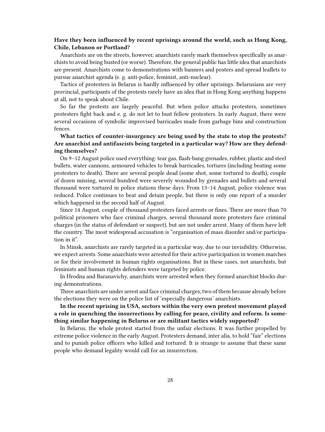#### **Have they been influenced by recent uprisings around the world, such as Hong Kong, Chile, Lebanon or Portland?**

Anarchists are on the streets, however, anarchists rarely mark themselves specifically as anarchists to avoid being busted (or worse). Therefore, the general public has little idea that anarchists are present. Anarchists come to demonstrations with banners and posters and spread leaflets to pursue anarchist agenda (e. g. anti-police, feminist, anti-nuclear).

Tactics of protesters in Belarus is hardly influenced by other uprisings. Belarusians are very provincial, participants of the protests rarely have an idea that in Hong Kong anything happens at all, not to speak about Chile.

So far the protests are largely peaceful. But when police attacks protesters, sometimes protesters fight back and e. g. do not let to bust fellow protesters. In early August, there were several occasions of symbolic improvised barricades made from garbage bins and construction fences.

## **What tactics of counter-insurgency are being used by the state to stop the protests? Are anarchist and antifascists being targeted in a particular way? How are they defending themselves?**

On 9–12 August police used everything: tear gas, flash-bang grenades, rubber, plastic and steel bullets, water cannons, armoured vehicles to break barricades, tortures (including beating some protesters to death). There are several people dead (some shot, some tortured to death), couple of dozen missing, several hundred were severely wounded by grenades and bullets and several thousand were tortured in police stations these days. From 13–14 August, police violence was reduced. Police continues to beat and detain people, but there is only one report of a murder which happened in the second half of August.

Since 14 August, couple of thousand protesters faced arrests or fines. There are more than 70 political prisoners who face criminal charges, several thousand more protesters face criminal charges (in the status of defendant or suspect), but are not under arrest. Many of them have left the country. The most widespread accusation is "organisation of mass disorder and/or participation in it".

In Minsk, anarchists are rarely targeted in a particular way, due to our invisibility. Otherwise, we expect arrests. Some anarchists were arrested for their active participation in women marches or for their involvement in human rights organisations. But in these cases, not anarchists, but feminists and human rights defenders were targeted by police.

In Hrodna and Baranavichy, anarchists were arrested when they formed anarchist blocks during demonstrations.

Three anarchists are under arrest and face criminal charges, two of them because already before the elections they were on the police list of 'especially dangerous' anarchists.

**In the recent uprising in USA, sectors within the very own protest movement played a role in quenching the insurrections by calling for peace, civility and reform. Is something similar happening in Belarus or are militant tactics widely supported?**

In Belarus, the whole protest started from the unfair elections. It was further propelled by extreme police violence in the early August. Protesters demand, inter alia, to hold "fair" elections and to punish police officers who killed and tortured. It is strange to assume that these same people who demand legality would call for an insurrection.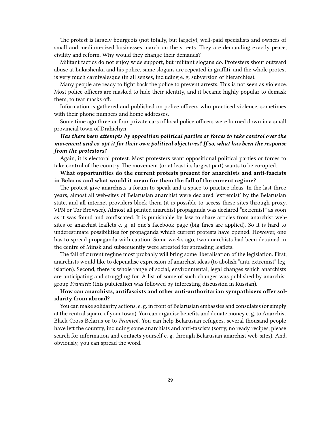The protest is largely bourgeois (not totally, but largely), well-paid specialists and owners of small and medium-sized businesses march on the streets. They are demanding exactly peace, civility and reform. Why would they change their demands?

Militant tactics do not enjoy wide support, but militant slogans do. Protesters shout outward abuse at Lukashenka and his police, same slogans are repeated in graffiti, and the whole protest is very much carnivalesque (in all senses, including e. g. subversion of hierarchies).

Many people are ready to fight back the police to prevent arrests. This is not seen as violence. Most police officers are masked to hide their identity, and it became highly popular to demask them, to tear masks off.

Information is gathered and published on police officers who practiced violence, sometimes with their phone numbers and home addresses.

Some time ago three or four private cars of local police officers were burned down in a small provincial town of Drahichyn.

## *Has there been attempts by opposition political parties or forces to take control over the movement and co-opt it for their own political objectives? If so, what has been the response from the protestors?*

Again, it is electoral protest. Most protesters want oppositional political parties or forces to take control of the country. The movement (or at least its largest part) wants to be co-opted.

### **What opportunities do the current protests present for anarchists and anti-fascists in Belarus and what would it mean for them the fall of the current regime?**

The protest give anarchists a forum to speak and a space to practice ideas. In the last three years, almost all web-sites of Belarusian anarchist were declared 'extremist' by the Belarusian state, and all internet providers block them (it is possible to access these sites through proxy, VPN or Tor Browser). Almost all printed anarchist propaganda was declared "extremist" as soon as it was found and confiscated. It is punishable by law to share articles from anarchist websites or anarchist leaflets e. g. at one's facebook page (big fines are applied). So it is hard to underestimate possibilities for propaganda which current protests have opened. However, one has to spread propaganda with caution. Some weeks ago, two anarchists had been detained in the centre of Minsk and subsequently were arrested for spreading leaflets.

The fall of current regime most probably will bring some liberalisation of the legislation. First, anarchists would like to depenalise expression of anarchist ideas (to abolish "anti-extremist" legislation). Second, there is whole range of social, environmental, legal changes which anarchists are anticipating and struggling for. A list of some of such changes was published by anarchist group *[Pramień](https://pramen.io/en/2020/09/proposal-of-program-minimum-for-the-period-of-uprising-in-belarus/)*: (this publication was followed by interesting discussion in Russian).

#### **How can anarchists, antifascists and other anti-authoritarian sympathisers offer solidarity from abroad?**

You can make solidarity actions, e. g. in front of Belarusian embassies and consulates (or simply at the central square of your town). You can organise benefits and donate money e. g. to [Anarchist](https://abc-belarus.org/?p=13148&lang=en) [Black Cross Belarus](https://abc-belarus.org/?p=13148&lang=en) or to *[Pramień](https://pramen.io/en/2017/11/four-way-to-help-the-anarchists-in-belarus/#comment-36645)*. You can help Belarusian refugees, several thousand people have left the country, including some anarchists and anti-fascists (sorry, no ready recipes, please search for information and contacts yourself e. g. through Belarusian anarchist web-sites). And, obviously, you can spread the word.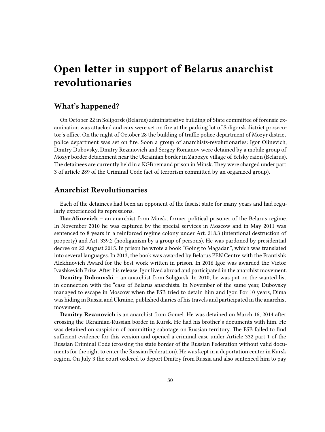## <span id="page-29-0"></span>**Open letter in support of Belarus anarchist revolutionaries**

## <span id="page-29-1"></span>**What's happened?**

On October 22 in Soligorsk (Belarus) administrative building of State committee of forensic examination was attacked and cars were set on fire at the parking lot of Soligorsk district prosecutor's office. On the night of October 28 the building of traffic police department of Mozyr district police department was set on fire. Soon a group of anarchists-revolutionaries: Igor Olinevich, Dmitry Dubovsky, Dmitry Rezanovich and Sergey Romanov were detained by a mobile group of Mozyr border detachment near the Ukrainian border in Zabozye village of Yelsky raion (Belarus). The detainees are currently held in a KGB remand prison in Minsk. They were charged under part 3 of article 289 of the Criminal Code (act of terrorism committed by an organized group).

## <span id="page-29-2"></span>**Anarchist Revolutionaries**

Each of the detainees had been an opponent of the fascist state for many years and had regularly experienced its repressions.

**IharAlinevich** – an anarchist from Minsk, former political prisoner of the Belarus regime. In November 2010 he was captured by the special services in Moscow and in May 2011 was sentenced to 8 years in a reinforced regime colony under Art. 218.3 (intentional destruction of property) and Art. 339.2 (hooliganism by a group of persons). He was pardoned by presidential decree on 22 August 2015. In prison he wrote a book "Going to Magadan", which was translated into several languages. In 2013, the book was awarded by Belarus PEN Centre with the Frantishk Alekhnovich Award for the best work written in prison. In 2016 Igor was awarded the Victor Ivashkevich Prize. After his release, Igor lived abroad and participated in the anarchist movement.

**Dzmitry Dubouvski** – an anarchist from Soligorsk. In 2010, he was put on the wanted list in connection with the "case of Belarus anarchists. In November of the same year, Dubovsky managed to escape in Moscow when the FSB tried to detain him and Igor. For 10 years, Dima was hiding in Russia and Ukraine, published diaries of his travels and participated in the anarchist movement.

**Dzmitry Rezanovich** is an anarchist from Gomel. He was detained on March 16, 2014 after crossing the Ukrainian-Russian border in Kursk. He had his brother's documents with him. He was detained on suspicion of committing sabotage on Russian territory. The FSB failed to find sufficient evidence for this version and opened a criminal case under Article 332 part 1 of the Russian Criminal Code (crossing the state border of the Russian Federation without valid documents for the right to enter the Russian Federation). He was kept in a deportation center in Kursk region. On July 3 the court ordered to deport Dmitry from Russia and also sentenced him to pay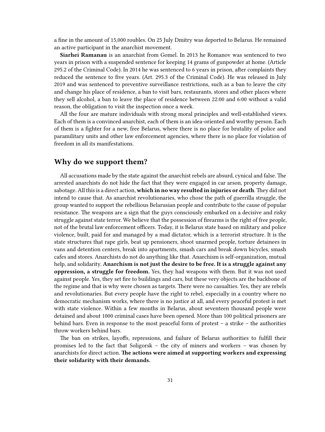a fine in the amount of 15,000 roubles. On 25 July Dmitry was deported to Belarus. He remained an active participant in the anarchist movement.

**Siarhei Ramanau** is an anarchist from Gomel. In 2013 he Romanov was sentenced to two years in prison with a suspended sentence for keeping 14 grams of gunpowder at home. (Article 295.2 of the Criminal Code). In 2014 he was sentenced to 6 years in prison, after complaints they reduced the sentence to five years. (Art. 295.3 of the Criminal Code). He was released in July 2019 and was sentenced to preventive surveillance restrictions, such as a ban to leave the city and change his place of residence, a ban to visit bars, restaurants, stores and other places where they sell alcohol, a ban to leave the place of residence between 22:00 and 6:00 without a valid reason, the obligation to visit the inspection once a week.

All the four are mature individuals with strong moral principles and well-established views. Each of them is a convinced anarchist, each of them is an idea-oriented and worthy person. Each of them is a fighter for a new, free Belarus, where there is no place for brutality of police and paramilitary units and other law enforcement agencies, where there is no place for violation of freedom in all its manifestations.

## <span id="page-30-0"></span>**Why do we support them?**

All accusations made by the state against the anarchist rebels are absurd, cynical and false. The arrested anarchists do not hide the fact that they were engaged in car arson, property damage, sabotage. All this is a direct action, **which in no way resulted in injuries or death**.They did not intend to cause that. As anarchist revolutionaries, who chose the path of guerrilla struggle, the group wanted to support the rebellious Belarusian people and contribute to the cause of popular resistance. The weapons are a sign that the guys consciously embarked on a decisive and risky struggle against state terror. We believe that the possession of firearms is the right of free people, not of the brutal law enforcement officers. Today, it is Belarus state based on military and police violence, built, paid for and managed by a mad dictator, which is a terrorist structure. It is the state structures that rape girls, beat up pensioners, shoot unarmed people, torture detainees in vans and detention centers, break into apartments, smash cars and break down bicycles, smash cafes and stores. Anarchists do not do anything like that. Anarchism is self-organization, mutual help, and solidarity. **Anarchism is not just the desire to be free. It is a struggle against any oppression, a struggle for freedom.** Yes, they had weapons with them. But it was not used against people. Yes, they set fire to buildings and cars, but these very objects are the backbone of the regime and that is why were chosen as targets. There were no casualties. Yes, they are rebels and revolutionaries. But every people have the right to rebel, especially in a country where no democratic mechanism works, where there is no justice at all, and every peaceful protest is met with state violence. Within a few months in Belarus, about seventeen thousand people were detained and about 1000 criminal cases have been opened. More than 100 political prisoners are behind bars. Even in response to the most peaceful form of protest – a strike – the authorities throw workers behind bars.

The ban on strikes, layoffs, repressions, and failure of Belarus authorities to fulfill their promises led to the fact that Soligorsk – the city of miners and workers – was chosen by anarchists for direct action. **The actions were aimed at supporting workers and expressing their solidarity with their demands.**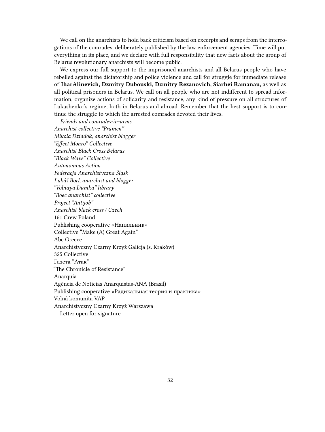We call on the anarchists to hold back criticism based on excerpts and scraps from the interrogations of the comrades, deliberately published by the law enforcement agencies. Time will put everything in its place, and we declare with full responsibility that new facts about the group of Belarus revolutionary anarchists will become public.

We express our full support to the imprisoned anarchists and all Belarus people who have rebelled against the dictatorship and police violence and call for struggle for immediate release of **IharAlinevich, Dzmitry Dubouski, Dzmitry Rezanovich, Siarhei Ramanau,** as well as all political prisoners in Belarus. We call on all people who are not indifferent to spread information, organize actions of solidarity and resistance, any kind of pressure on all structures of Lukashenko's regime, both in Belarus and abroad. Remember that the best support is to continue the struggle to which the arrested comrades devoted their lives.

*Friends and comrades-in-arms Anarchist collective "Pramen" Mikola Dziadok, anarchist blogger "Effect Monro" Collective Anarchist Black Cross Belarus "Black Wave" Collective Autonomous Action Federacja Anarchistyczna Śląsk Lukáš Borl, anarchist and blogger "Volnaya Dumka" library "Boec anarchist" collective Project "Antijob" Anarchist black cross / Czech* 161 Crew Poland Publishing cooperative «Напильник» Collective "Make (A) Great Again" Abc Greece Anarchistyczny Czarny Krzyż Galicja (s. Kraków) 325 Collective Газета "Атак" "The Chronicle of Resistance" Anarquia Agência de Notícias Anarquistas-ANA (Brasil) Publishing cooperative «Радикальная теория и практика» Volná komunita VAP Anarchistyczny Czarny Krzyż Warszawa Letter open for signature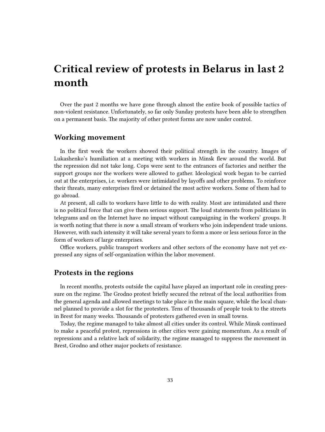## <span id="page-32-0"></span>**Critical review of protests in Belarus in last 2 month**

Over the past 2 months we have gone through almost the entire book of possible tactics of non-violent resistance. Unfortunately, so far only Sunday protests have been able to strengthen on a permanent basis. The majority of other protest forms are now under control.

### <span id="page-32-1"></span>**Working movement**

In the first week the workers showed their political strength in the country. Images of Lukashenko's humiliation at a meeting with workers in Minsk flew around the world. But the repression did not take long. Cops were sent to the entrances of factories and neither the support groups nor the workers were allowed to gather. Ideological work began to be carried out at the enterprises, i.e. workers were intimidated by layoffs and other problems. To reinforce their threats, many enterprises fired or detained the most active workers. Some of them had to go abroad.

At present, all calls to workers have little to do with reality. Most are intimidated and there is no political force that can give them serious support. The loud statements from politicians in telegrams and on the Internet have no impact without campaigning in the workers' groups. It is worth noting that there is now a small stream of workers who join independent trade unions. However, with such intensity it will take several years to form a more or less serious force in the form of workers of large enterprises.

Office workers, public transport workers and other sectors of the economy have not yet expressed any signs of self-organization within the labor movement.

## <span id="page-32-2"></span>**Protests in the regions**

In recent months, protests outside the capital have played an important role in creating pressure on the regime. The Grodno protest briefly secured the retreat of the local authorities from the general agenda and allowed meetings to take place in the main square, while the local channel planned to provide a slot for the protesters. Tens of thousands of people took to the streets in Brest for many weeks. Thousands of protesters gathered even in small towns.

Today, the regime managed to take almost all cities under its control. While Minsk continued to make a peaceful protest, repressions in other cities were gaining momentum. As a result of repressions and a relative lack of solidarity, the regime managed to suppress the movement in Brest, Grodno and other major pockets of resistance.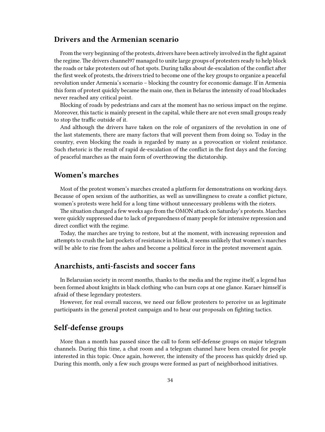## <span id="page-33-0"></span>**Drivers and the Armenian scenario**

From the very beginning of the protests, drivers have been actively involved in the fight against the regime. The drivers channel97 managed to unite large groups of protesters ready to help block the roads or take protesters out of hot spots. During talks about de-escalation of the conflict after the first week of protests, the drivers tried to become one of the key groups to organize a peaceful revolution under Armenia's scenario – blocking the country for economic damage. If in Armenia this form of protest quickly became the main one, then in Belarus the intensity of road blockades never reached any critical point.

Blocking of roads by pedestrians and cars at the moment has no serious impact on the regime. Moreover, this tactic is mainly present in the capital, while there are not even small groups ready to stop the traffic outside of it.

And although the drivers have taken on the role of organizers of the revolution in one of the last statements, there are many factors that will prevent them from doing so. Today in the country, even blocking the roads is regarded by many as a provocation or violent resistance. Such rhetoric is the result of rapid de-escalation of the conflict in the first days and the forcing of peaceful marches as the main form of overthrowing the dictatorship.

## <span id="page-33-1"></span>**Women's marches**

Most of the protest women's marches created a platform for demonstrations on working days. Because of open sexism of the authorities, as well as unwillingness to create a conflict picture, women's protests were held for a long time without unnecessary problems with the rioters.

The situation changed a few weeks ago from the OMON attack on Saturday's protests. Marches were quickly suppressed due to lack of preparedness of many people for intensive repression and direct conflict with the regime.

Today, the marches are trying to restore, but at the moment, with increasing repression and attempts to crush the last pockets of resistance in Minsk, it seems unlikely that women's marches will be able to rise from the ashes and become a political force in the protest movement again.

#### <span id="page-33-2"></span>**Anarchists, anti-fascists and soccer fans**

In Belarusian society in recent months, thanks to the media and the regime itself, a legend has been formed about knights in black clothing who can burn cops at one glance. Karaev himself is afraid of these legendary protesters.

However, for real overall success, we need our fellow protesters to perceive us as legitimate participants in the general protest campaign and to hear our proposals on fighting tactics.

## <span id="page-33-3"></span>**Self-defense groups**

More than a month has passed since the call to form self-defense groups on major telegram channels. During this time, a chat room and a telegram channel have been created for people interested in this topic. Once again, however, the intensity of the process has quickly dried up. During this month, only a few such groups were formed as part of neighborhood initiatives.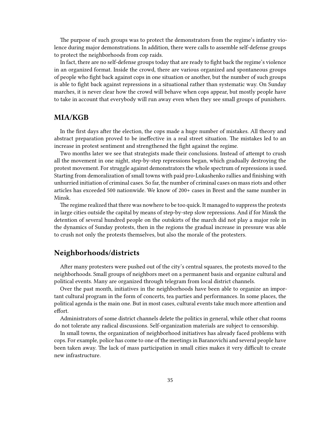The purpose of such groups was to protect the demonstrators from the regime's infantry violence during major demonstrations. In addition, there were calls to assemble self-defense groups to protect the neighborhoods from cop raids.

In fact, there are no self-defense groups today that are ready to fight back the regime's violence in an organized format. Inside the crowd, there are various organized and spontaneous groups of people who fight back against cops in one situation or another, but the number of such groups is able to fight back against repressions in a situational rather than systematic way. On Sunday marches, it is never clear how the crowd will behave when cops appear, but mostly people have to take in account that everybody will run away even when they see small groups of punishers.

## <span id="page-34-0"></span>**MIA/KGB**

In the first days after the election, the cops made a huge number of mistakes. All theory and abstract preparation proved to be ineffective in a real street situation. The mistakes led to an increase in protest sentiment and strengthened the fight against the regime.

Two months later we see that strategists made their conclusions. Instead of attempt to crush all the movement in one night, step-by-step repressions began, which gradually destroying the protest movement. For struggle against demonstrators the whole spectrum of repressions is used. Starting from demoralization of small towns with paid pro-Lukashenko rallies and finishing with unhurried initiation of criminal cases. So far, the number of criminal cases on mass riots and other articles has exceeded 500 nationwide. We know of 200+ cases in Brest and the same number in Minsk.

The regime realized that there was nowhere to be too quick. It managed to suppress the protests in large cities outside the capital by means of step-by-step slow repressions. And if for Minsk the detention of several hundred people on the outskirts of the march did not play a major role in the dynamics of Sunday protests, then in the regions the gradual increase in pressure was able to crush not only the protests themselves, but also the morale of the protesters.

## <span id="page-34-1"></span>**Neighborhoods/districts**

After many protesters were pushed out of the city's central squares, the protests moved to the neighborhoods. Small groups of neighbors meet on a permanent basis and organize cultural and political events. Many are organized through telegram from local district channels.

Over the past month, initiatives in the neighborhoods have been able to organize an important cultural program in the form of concerts, tea parties and performances. In some places, the political agenda is the main one. But in most cases, cultural events take much more attention and effort.

Administrators of some district channels delete the politics in general, while other chat rooms do not tolerate any radical discussions. Self-organization materials are subject to censorship.

In small towns, the organization of neighborhood initiatives has already faced problems with cops. For example, police has come to one of the meetings in Baranovichi and several people have been taken away. The lack of mass participation in small cities makes it very difficult to create new infrastructure.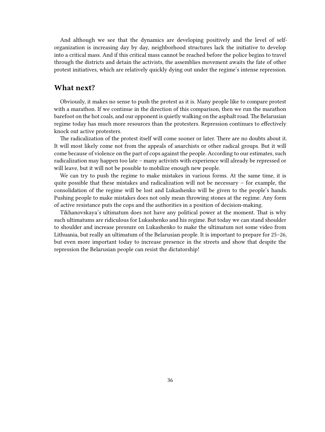And although we see that the dynamics are developing positively and the level of selforganization is increasing day by day, neighborhood structures lack the initiative to develop into a critical mass. And if this critical mass cannot be reached before the police begins to travel through the districts and detain the activists, the assemblies movement awaits the fate of other protest initiatives, which are relatively quickly dying out under the regime's intense repression.

## <span id="page-35-0"></span>**What next?**

Obviously, it makes no sense to push the protest as it is. Many people like to compare protest with a marathon. If we continue in the direction of this comparison, then we run the marathon barefoot on the hot coals, and our opponent is quietly walking on the asphalt road. The Belarusian regime today has much more resources than the protesters. Repression continues to effectively knock out active protesters.

The radicalization of the protest itself will come sooner or later. There are no doubts about it. It will most likely come not from the appeals of anarchists or other radical groups. But it will come because of violence on the part of cops against the people. According to our estimates, such radicalization may happen too late – many activists with experience will already be repressed or will leave, but it will not be possible to mobilize enough new people.

We can try to push the regime to make mistakes in various forms. At the same time, it is quite possible that these mistakes and radicalization will not be necessary – for example, the consolidation of the regime will be lost and Lukashenko will be given to the people's hands. Pushing people to make mistakes does not only mean throwing stones at the regime. Any form of active resistance puts the cops and the authorities in a position of decision-making.

Tikhanovskaya's ultimatum does not have any political power at the moment. That is why such ultimatums are ridiculous for Lukashenko and his regime. But today we can stand shoulder to shoulder and increase pressure on Lukashenko to make the ultimatum not some video from Lithuania, but really an ultimatum of the Belarusian people. It is important to prepare for 25–26, but even more important today to increase presence in the streets and show that despite the repression the Belarusian people can resist the dictatorship!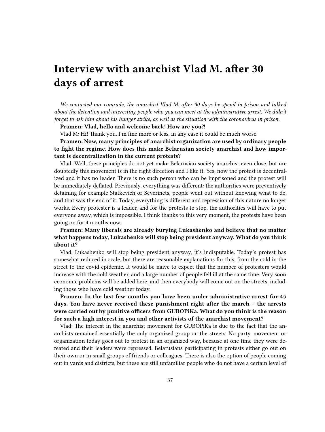# <span id="page-36-0"></span>**Interview with anarchist Vlad M. after 30 days of arrest**

*We contacted our comrade, the anarchist Vlad M. after 30 days he spend in prison and talked about the detention and interesting people who you can meet at the administrative arrest. We didn't forget to ask him about his hunger strike, as well as the situation with the coronavirus in prison.*

Pramen: Vlad, hello and welcome back! How are you?!

Vlad M: Hi! Thank you. I'm fine more or less, in any case it could be much worse.

**Pramen: Now, many principles of anarchist organization are used by ordinary people to fight the regime. How does this make Belarusian society anarchist and how important is decentralization in the current protests?**

Vlad: Well, these principles do not yet make Belarusian society anarchist even close, but undoubtedly this movement is in the right direction and I like it. Yes, now the protest is decentralized and it has no leader. There is no such person who can be imprisoned and the protest will be immediately deflated. Previously, everything was different: the authorities were preventively detaining for example Statkevich or Severinets, people went out without knowing what to do, and that was the end of it. Today, everything is different and repression of this nature no longer works. Every protester is a leader, and for the protests to stop, the authorities will have to put everyone away, which is impossible. I think thanks to this very moment, the protests have been going on for 4 months now.

**Pramen: Many liberals are already burying Lukashenko and believe that no matter what happens today, Lukashenko will stop being president anyway. What do you think about it?**

Vlad: Lukashenko will stop being president anyway, it's indisputable. Today's protest has somewhat reduced in scale, but there are reasonable explanations for this, from the cold in the street to the covid epidemic. It would be naive to expect that the number of protesters would increase with the cold weather, and a large number of people fell ill at the same time. Very soon economic problems will be added here, and then everybody will come out on the streets, including those who have cold weather today.

**Pramen: In the last few months you have been under administrative arrest for 45 days. You have never received these punishment right after the march – the arrests were carried out by punitive officers from GUBOPiKa. What do you think is the reason for such a high interest in you and other activists of the anarchist movement?**

Vlad: The interest in the anarchist movement for GUBOPiKa is due to the fact that the anarchists remained essentially the only organized group on the streets. No party, movement or organization today goes out to protest in an organized way, because at one time they were defeated and their leaders were repressed. Belarusians participating in protests either go out on their own or in small groups of friends or colleagues. There is also the option of people coming out in yards and districts, but these are still unfamiliar people who do not have a certain level of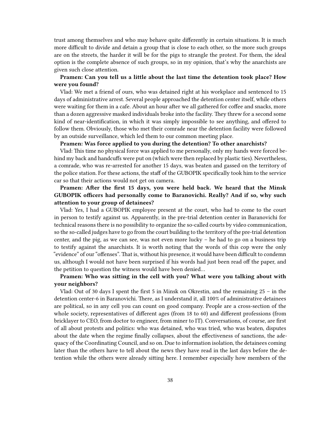trust among themselves and who may behave quite differently in certain situations. It is much more difficult to divide and detain a group that is close to each other, so the more such groups are on the streets, the harder it will be for the pigs to strangle the protest. For them, the ideal option is the complete absence of such groups, so in my opinion, that's why the anarchists are given such close attention.

### **Pramen: Can you tell us a little about the last time the detention took place? How were you found?**

Vlad: We met a friend of ours, who was detained right at his workplace and sentenced to 15 days of administrative arrest. Several people approached the detention center itself, while others were waiting for them in a cafe. About an hour after we all gathered for coffee and snacks, more than a dozen aggressive masked individuals broke into the facility. They threw for a second some kind of near-identification, in which it was simply impossible to see anything, and offered to follow them. Obviously, those who met their comrade near the detention facility were followed by an outside surveillance, which led them to our common meeting place.

### **Pramen: Was force applied to you during the detention? To other anarchists?**

Vlad: This time no physical force was applied to me personally, only my hands were forced behind my back and handcuffs were put on (which were then replaced by plastic ties). Nevertheless, a comrade, who was re-arrested for another 15 days, was beaten and gassed on the territory of the police station. For these actions, the staff of the GUBOPIK specifically took him to the service car so that their actions would not get on camera.

### **Pramen: After the first 15 days, you were held back. We heard that the Minsk GUBOPIK officers had personally come to Baranovichi. Really? And if so, why such attention to your group of detainees?**

Vlad: Yes, I had a GUBOPIK employee present at the court, who had to come to the court in person to testify against us. Apparently, in the pre-trial detention center in Baranovichi for technical reasons there is no possibility to organize the so-called courts by video communication, so the so-called judges have to go from the court building to the territory of the pre-trial detention center, and the pig, as we can see, was not even more lucky – he had to go on a business trip to testify against the anarchists. It is worth noting that the words of this cop were the only "evidence" of our "offenses". That is, without his presence, it would have been difficult to condemn us, although I would not have been surprised if his words had just been read off the paper, and the petition to question the witness would have been denied…

### **Pramen: Who was sitting in the cell with you? What were you talking about with your neighbors?**

Vlad: Out of 30 days I spent the first 5 in Minsk on Okrestin, and the remaining  $25 - in$  the detention center-6 in Baranovichi. There, as I understand it, all 100% of administrative detainees are political, so in any cell you can count on good company. People are a cross-section of the whole society, representatives of different ages (from 18 to 60) and different professions (from bricklayer to CEO, from doctor to engineer, from miner to IT). Conversations, of course, are first of all about protests and politics: who was detained, who was tried, who was beaten, disputes about the date when the regime finally collapses, about the effectiveness of sanctions, the adequacy of the Coordinating Council, and so on. Due to information isolation, the detainees coming later than the others have to tell about the news they have read in the last days before the detention while the others were already sitting here. I remember especially how members of the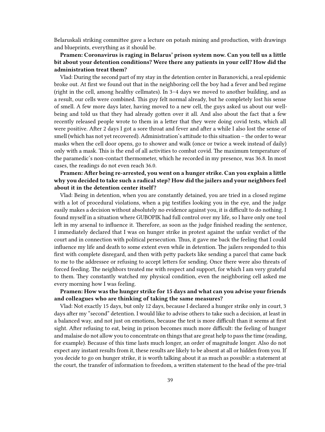Belaruskali striking committee gave a lecture on potash mining and production, with drawings and blueprints, everything as it should be.

### **Pramen: Coronavirus is raging in Belarus' prison system now. Can you tell us a little bit about your detention conditions? Were there any patients in your cell? How did the administration treat them?**

Vlad: During the second part of my stay in the detention center in Baranovichi, a real epidemic broke out. At first we found out that in the neighboring cell the boy had a fever and bed regime (right in the cell, among healthy cellmates). In 3–4 days we moved to another building, and as a result, our cells were combined. This guy felt normal already, but he completely lost his sense of smell. A few more days later, having moved to a new cell, the guys asked us about our wellbeing and told us that they had already gotten over it all. And also about the fact that a few recently released people wrote to them in a letter that they were doing covid tests, which all were positive. After 2 days I got a sore throat and fever and after a while I also lost the sense of smell (which has not yet recovered). Administration's attitude to this situation – the order to wear masks when the cell door opens, go to shower and walk (once or twice a week instead of daily) only with a mask. This is the end of all activities to combat covid. The maximum temperature of the paramedic's non-contact thermometer, which he recorded in my presence, was 36.8. In most cases, the readings do not even reach 36.0.

### **Pramen: After being re-arrested, you went on a hunger strike. Can you explain a little why you decided to take such a radical step? How did the jailers and your neighbors feel about it in the detention center itself?**

Vlad: Being in detention, when you are constantly detained, you are tried in a closed regime with a lot of procedural violations, when a pig testifies looking you in the eye, and the judge easily makes a decision without absolutely no evidence against you, it is difficult to do nothing. I found myself in a situation where GUBOPIK had full control over my life, so I have only one tool left in my arsenal to influence it. Therefore, as soon as the judge finished reading the sentence, I immediately declared that I was on hunger strike in protest against the unfair verdict of the court and in connection with political persecution. Thus, it gave me back the feeling that I could influence my life and death to some extent even while in detention. The jailers responded to this first with complete disregard, and then with petty packets like sending a parcel that came back to me to the addressee or refusing to accept letters for sending. Once there were also threats of forced feeding. The neighbors treated me with respect and support, for which I am very grateful to them. They constantly watched my physical condition, even the neighboring cell asked me every morning how I was feeling.

### **Pramen: How was the hunger strike for 15 days and what can you advise your friends and colleagues who are thinking of taking the same measures?**

Vlad: Not exactly 15 days, but only 12 days, because I declared a hunger strike only in court, 3 days after my "second" detention. I would like to advise others to take such a decision, at least in a balanced way, and not just on emotions, because the test is more difficult than it seems at first sight. After refusing to eat, being in prison becomes much more difficult: the feeling of hunger and malaise do not allow you to concentrate on things that are great help to pass the time (reading, for example). Because of this time lasts much longer, an order of magnitude longer. Also do not expect any instant results from it, these results are likely to be absent at all or hidden from you. If you decide to go on hunger strike, it is worth talking about it as much as possible: a statement at the court, the transfer of information to freedom, a written statement to the head of the pre-trial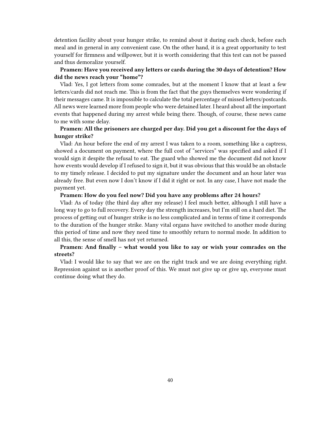detention facility about your hunger strike, to remind about it during each check, before each meal and in general in any convenient case. On the other hand, it is a great opportunity to test yourself for firmness and willpower, but it is worth considering that this test can not be passed and thus demoralize yourself.

#### **Pramen: Have you received any letters or cards during the 30 days of detention? How did the news reach your "home"?**

Vlad: Yes, I got letters from some comrades, but at the moment I know that at least a few letters/cards did not reach me. This is from the fact that the guys themselves were wondering if their messages came. It is impossible to calculate the total percentage of missed letters/postcards. All news were learned more from people who were detained later. I heard about all the important events that happened during my arrest while being there. Though, of course, these news came to me with some delay.

### **Pramen: All the prisoners are charged per day. Did you get a discount for the days of hunger strike?**

Vlad: An hour before the end of my arrest I was taken to a room, something like a captress, showed a document on payment, where the full cost of "services" was specified and asked if I would sign it despite the refusal to eat. The guard who showed me the document did not know how events would develop if I refused to sign it, but it was obvious that this would be an obstacle to my timely release. I decided to put my signature under the document and an hour later was already free. But even now I don't know if I did it right or not. In any case, I have not made the payment yet.

#### **Pramen: How do you feel now? Did you have any problems after 24 hours?**

Vlad: As of today (the third day after my release) I feel much better, although I still have a long way to go to full recovery. Every day the strength increases, but I'm still on a hard diet. The process of getting out of hunger strike is no less complicated and in terms of time it corresponds to the duration of the hunger strike. Many vital organs have switched to another mode during this period of time and now they need time to smoothly return to normal mode. In addition to all this, the sense of smell has not yet returned.

### **Pramen: And finally – what would you like to say or wish your comrades on the streets?**

Vlad: I would like to say that we are on the right track and we are doing everything right. Repression against us is another proof of this. We must not give up or give up, everyone must continue doing what they do.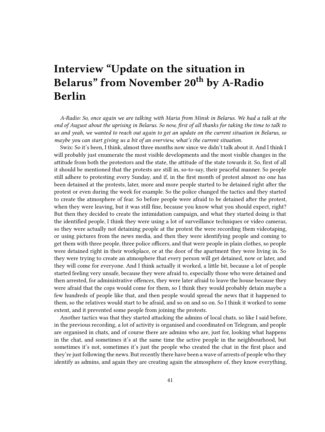## <span id="page-40-0"></span>**Interview "Update on the situation in Belarus" from November 20th by A-Radio Berlin**

*A-Radio: So, once again we are talking with Maria from Minsk in Belarus. We had a talk at the end of August about the uprising in Belarus. So now, first of all thanks for taking the time to talk to us and yeah, we wanted to reach out again to get an update on the current situation in Belarus, so maybe you can start giving us a bit of an overview, what's the current situation.*

Swix: So it's been, I think, almost three months now since we didn't talk about it. And I think I will probably just enumerate the most visible developments and the most visible changes in the attitude from both the protestors and the state, the attitude of the state towards it. So, first of all it should be mentioned that the protests are still in, so-to-say, their peaceful manner. So people still adhere to protesting every Sunday, and if, in the first month of protest almost no one has been detained at the protests, later, more and more people started to be detained right after the protest or even during the week for example. So the police changed the tactics and they started to create the atmosphere of fear. So before people were afraid to be detained after the protest, when they were leaving, but it was still fine, because you know what you should expect, right? But then they decided to create the intimidation campaign, and what they started doing is that the identified people, I think they were using a lot of surveillance techniques or video cameras, so they were actually not detaining people at the protest the were recording them videotaping, or using pictures from the news media, and then they were identifying people and coming to get them with three people, three police officers, and that were people in plain clothes, so people were detained right in their workplace, or at the door of the apartment they were living in. So they were trying to create an atmosphere that every person will get detained, now or later, and they will come for everyone. And I think actually it worked, a little bit, because a lot of people started feeling very unsafe, because they were afraid to, especially those who were detained and then arrested, for administrative offences, they were later afraid to leave the house because they were afraid that the cops would come for them, so I think they would probably detain maybe a few hundreds of people like that, and then people would spread the news that it happened to them, so the relatives would start to be afraid, and so on and so on. So I think it worked to some extent, and it prevented some people from joining the protests.

Another tactics was that they started attacking the admins of local chats, so like I said before, in the previous recording, a lot of activity is organised and coordinated on Telegram, and people are organised in chats, and of course there are admins who are, just for, looking what happens in the chat, and sometimes it's at the same time the active people in the neighbourhood, but sometimes it's not, sometimes it's just the people who created the chat in the first place and they're just following the news. But recently there have been a wave of arrests of people who they identify as admins, and again they are creating again the atmosphere of, they know everything,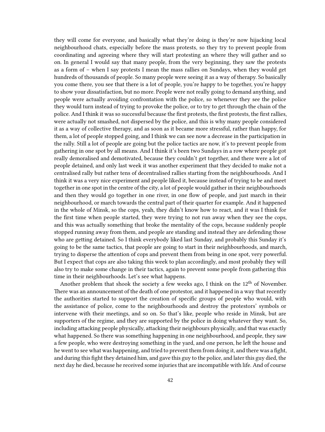they will come for everyone, and basically what they're doing is they're now hijacking local neighbourhood chats, especially before the mass protests, so they try to prevent people from coordinating and agreeing where they will start protesting an where they will gather and so on. In general I would say that many people, from the very beginning, they saw the protests as a form of – when I say protests I mean the mass rallies on Sundays, when they would get hundreds of thousands of people. So many people were seeing it as a way of therapy. So basically you come there, you see that there is a lot of people, you're happy to be together, you're happy to show your dissatisfaction, but no more. People were not really going to demand anything, and people were actually avoiding confrontation with the police, so whenever they see the police they would turn instead of trying to provoke the police, or to try to get through the chain of the police. And I think it was so successful because the first protests, the first protests, the first rallies, were actually not smashed, not dispersed by the police, and this is why many people considered it as a way of collective therapy, and as soon as it became more stressful, rather than happy, for them, a lot of people stopped going, and I think we can see now a decrease in the participation in the rally. Still a lot of people are going but the police tactics are now, it's to prevent people from gathering in one spot by all means. And I think it's been two Sundays in a row where people got really demoralised and demotivated, because they couldn't get together, and there were a lot of people detained, and only last week it was another experiment that they decided to make not a centralised rally but rather tens of decentralised rallies starting from the neighbourhoods. And I think it was a very nice experiment and people liked it, because instead of trying to be and meet together in one spot in the centre of the city, a lot of people would gather in their neighbourhoods and then they would go together in one river, in one flow of people, and just march in their neighbourhood, or march towards the central part of their quarter for example. And it happened in the whole of Minsk, so the cops, yeah, they didn't know how to react, and it was I think for the first time when people started, they were trying to not run away when they see the cops, and this was actually something that broke the mentality of the cops, because suddenly people stopped running away from them, and people are standing and instead they are defending those who are getting detained. So I think everybody liked last Sunday, and probably this Sunday it's going to be the same tactics, that people are going to start in their neighbourhoods, and march, trying to disperse the attention of cops and prevent them from being in one spot, very powerful. But I expect that cops are also taking this week to plan accordingly, and most probably they will also try to make some change in their tactics, again to prevent some people from gathering this time in their neighbourhoods. Let's see what happens.

Another problem that shook the society a few weeks ago, I think on the 12<sup>th</sup> of November. There was an announcement of the death of one protestor, and it happened in a way that recently the authorities started to support the creation of specific groups of people who would, with the assistance of police, come to the neighbourhoods and destroy the protestors' symbols or intervene with their meetings, and so on. So that's like, people who reside in Minsk, but are supporters of the regime, and they are supported by the police in doing whatever they want. So, including attacking people physically, attacking their neighbours physically, and that was exactly what happened. So there was something happening in one neighbourhood, and people, they saw a few people, who were destroying something in the yard, and one person, he left the house and he went to see what was happening, and tried to prevent them from doing it, and there was a fight, and during this fight they detained him, and gave this guy to the police, and later this guy died, the next day he died, because he received some injuries that are incompatible with life. And of course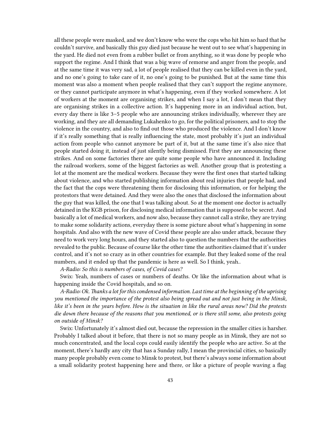all these people were masked, and we don't know who were the cops who hit him so hard that he couldn't survive, and basically this guy died just because he went out to see what's happening in the yard. He died not even from a rubber bullet or from anything, so it was done by people who support the regime. And I think that was a big wave of remorse and anger from the people, and at the same time it was very sad, a lot of people realised that they can be killed even in the yard, and no one's going to take care of it, no one's going to be punished. But at the same time this moment was also a moment when people realised that they can't support the regime anymore, or they cannot participate anymore in what's happening, even if they worked somewhere. A lot of workers at the moment are organising strikes, and when I say a lot, I don't mean that they are organising strikes in a collective action. It's happening more in an individual action, but, every day there is like 3–5 people who are announcing strikes individually, wherever they are working, and they are all demanding Lukahenko to go, for the political prisoners, and to stop the violence in the country, and also to find out those who produced the violence. And I don't know if it's really something that is really influencing the state, most probably it's just an individual action from people who cannot anymore be part of it, but at the same time it's also nice that people started doing it, instead of just silently being dismissed. First they are announcing these strikes. And on some factories there are quite some people who have announced it. Including the railroad workers, some of the biggest factories as well. Another group that is protesting a lot at the moment are the medical workers. Because they were the first ones that started talking about violence, and who started publishing information about real injuries that people had, and the fact that the cops were threatening them for disclosing this information, or for helping the protestors that were detained. And they were also the ones that disclosed the information about the guy that was killed, the one that I was talking about. So at the moment one doctor is actually detained in the KGB prison, for disclosing medical information that is supposed to be secret. And basically a lot of medical workers, and now also, because they cannot call a strike, they are trying to make some solidarity actions, everyday there is some picture about what's happening in some hospitals. And also with the new wave of Covid these people are also under attack, because they need to work very long hours, and they started also to question the numbers that the authorities revealed to the public. Because of course like the other time the authorities claimed that it's under control, and it's not so crazy as in other countries for example. But they leaked some of the real numbers, and it ended up that the pandemic is here as well. So I think, yeah..

*A-Radio: So this is numbers of cases, of Covid cases?*

Swix: Yeah, numbers of cases or numbers of deaths. Or like the information about what is happening inside the Covid hospitals, and so on.

*A-Radio: Ok. Thanks a lot for this condensed information. Last time at the beginning of the uprising you mentioned the importance of the protest also being spread out and not just being in the Minsk, like it's been in the years before. How is the situation in like the rural areas now? Did the protests die down there because of the reasons that you mentioned, or is there still some, also protests going on outside of Minsk?*

Swix: Unfortunately it's almost died out, because the repression in the smaller cities is harsher. Probably I talked about it before, that there is not so many people as in Minsk, they are not so much concentrated, and the local cops could easily identify the people who are active. So at the moment, there's hardly any city that has a Sunday rally, I mean the provincial cities, so basically many people probably even come to Minsk to protest, but there's always some information about a small solidarity protest happening here and there, or like a picture of people waving a flag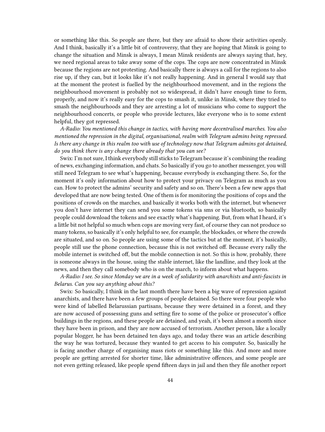or something like this. So people are there, but they are afraid to show their activities openly. And I think, basically it's a little bit of controversy, that they are hoping that Minsk is going to change the situation and Minsk is always, I mean Minsk residents are always saying that, hey, we need regional areas to take away some of the cops. The cops are now concentrated in Minsk because the regions are not protesting. And basically there is always a call for the regions to also rise up, if they can, but it looks like it's not really happening. And in general I would say that at the moment the protest is fuelled by the neighbourhood movement, and in the regions the neighbourhood movement is probably not so widespread, it didn't have enough time to form, properly, and now it's really easy for the cops to smash it, unlike in Minsk, where they tried to smash the neighbourhoods and they are arresting a lot of musicians who come to support the neighbourhood concerts, or people who provide lectures, like everyone who is to some extent helpful, they got repressed.

*A-Radio: You mentioned this change in tactics, with having more decentralised marches. You also mentioned the repression in the digital, organisational, realm with Telegram admins being repressed. Is there any change in this realm too with use of technology now that Telegram admins got detained, do you think there is any change there already that you can see?*

Swix: I'm not sure, I think everybody still sticks to Telegram because it's combining the reading of news, exchanging information, and chats. So basically if you go to another messenger, you will still need Telegram to see what's happening, because everybody is exchanging there. So, for the moment it's only information about how to protect your privacy on Telegram as much as you can. How to protect the admins' security and safety and so on. There's been a few new apps that developed that are now being tested. One of them is for monitoring the positions of cops and the positions of crowds on the marches, and basically it works both with the internet, but whenever you don't have internet they can send you some tokens via sms or via bluetooth, so basically people could download the tokens and see exactly what's happening. But, from what I heard, it's a little bit not helpful so much when cops are moving very fast, of course they can not produce so many tokens, so basically it's only helpful to see, for example, the blockades, or where the crowds are situated, and so on. So people are using some of the tactics but at the moment, it's basically, people still use the phone connection, because this is not switched off. Because every rally the mobile internet is switched off, but the mobile connection is not. So this is how, probably, there is someone always in the house, using the stable internet, like the landline, and they look at the news, and then they call somebody who is on the march, to inform about what happens.

*A-Radio: I see. So since Monday we are in a week of solidarity with anarchists and anti-fascists in Belarus. Can you say anything about this?*

Swix: So basically, I think in the last month there have been a big wave of repression against anarchists, and there have been a few groups of people detained. So there were four people who were kind of labelled Belarussian partisans, because they were detained in a forest, and they are now accused of possessing guns and setting fire to some of the police or prosecutor's office buildings in the regions, and these people are detained, and yeah, it's been almost a month since they have been in prison, and they are now accused of terrorism. Another person, like a locally popular blogger, he has been detained ten days ago, and today there was an article describing the way he was tortured, because they wanted to get access to his computer. So, basically he is facing another charge of organising mass riots or something like this. And more and more people are getting arrested for shorter time, like administrative offences, and some people are not even getting released, like people spend fifteen days in jail and then they file another report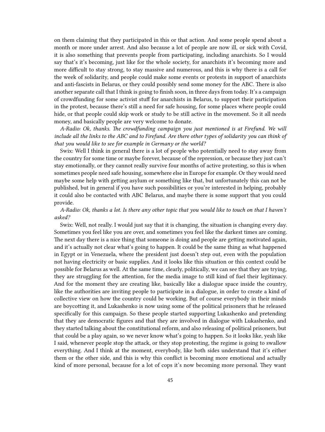on them claiming that they participated in this or that action. And some people spend about a month or more under arrest. And also because a lot of people are now ill, or sick with Covid, it is also something that prevents people from participating, including anarchists. So I would say that's it's becoming, just like for the whole society, for anarchists it's becoming more and more difficult to stay strong, to stay massive and numerous, and this is why there is a call for the week of solidarity, and people could make some events or protests in support of anarchists and anti-fascists in Belarus, or they could possibly send some money for the ABC. There is also another separate call that I think is going to finish soon, in three days from today. It's a campaign of crowdfunding for some activist stuff for anarchists in Belarus, to support their participation in the protest, because there's still a need for safe housing, for some places where people could hide, or that people could skip work or study to be still active in the movement. So it all needs money, and basically people are very welcome to donate.

*A-Radio: Ok, thanks. The crowdfunding campaign you just mentioned is at Firefund. We will include all the links to the ABC and to Firefund. Are there other types of solidarity you can think of that you would like to see for example in Germany or the world?*

Swix: Well I think in general there is a lot of people who potentially need to stay away from the country for some time or maybe forever, because of the repression, or because they just can't stay emotionally, or they cannot really survive four months of active protesting, so this is when sometimes people need safe housing, somewhere else in Europe for example. Or they would need maybe some help with getting asylum or something like that, but unfortunately this can not be published, but in general if you have such possibilities or you're interested in helping, probably it could also be contacted with ABC Belarus, and maybe there is some support that you could provide.

#### *A-Radio: Ok, thanks a lot. Is there any other topic that you would like to touch on that I haven't asked?*

Swix: Well, not really. I would just say that it is changing, the situation is changing every day. Sometimes you feel like you are over, and sometimes you feel like the darkest times are coming. The next day there is a nice thing that someone is doing and people are getting motivated again, and it's actually not clear what's going to happen. It could be the same thing as what happened in Egypt or in Venezuela, where the president just doesn't step out, even with the population not having electricity or basic supplies. And it looks like this situation or this context could be possible for Belarus as well. At the same time, clearly, politically, we can see that they are trying, they are struggling for the attention, for the media image to still kind of fuel their legitimacy. And for the moment they are creating like, basically like a dialogue space inside the country, like the authorities are inviting people to participate in a dialogue, in order to create a kind of collective view on how the country could be working. But of course everybody in their minds are boycotting it, and Lukashenko is now using some of the political prisoners that he released specifically for this campaign. So these people started supporting Lukashenko and pretending that they are democratic figures and that they are involved in dialogue with Lukashenko, and they started talking about the constitutional reform, and also releasing of political prisoners, but that could be a play again, so we never know what's going to happen. So it looks like, yeah like I said, whenever people stop the attack, or they stop protesting, the regime is going to swallow everything. And I think at the moment, everybody, like both sides understand that it's either them or the other side, and this is why this conflict is becoming more emotional and actually kind of more personal, because for a lot of cops it's now becoming more personal. They want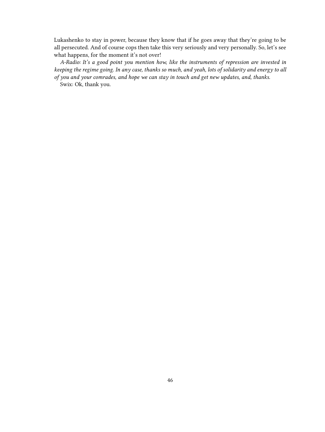Lukashenko to stay in power, because they know that if he goes away that they're going to be all persecuted. And of course cops then take this very seriously and very personally. So, let's see what happens, for the moment it's not over!

*A-Radio: It's a good point you mention how, like the instruments of repression are invested in keeping the regime going. In any case, thanks so much, and yeah, lots of solidarity and energy to all of you and your comrades, and hope we can stay in touch and get new updates, and, thanks.*

Swix: Ok, thank you.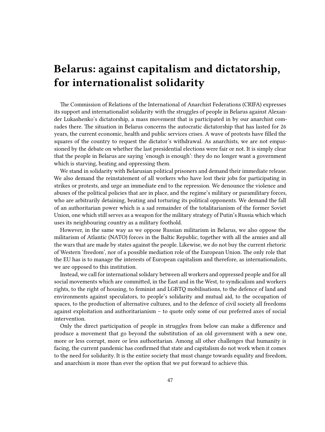# <span id="page-46-0"></span>**Belarus: against capitalism and dictatorship, for internationalist solidarity**

The Commission of Relations of the International of Anarchist Federations (CRIFA) expresses its support and internationalist solidarity with the struggles of people in Belarus against Alexander Lukashenko's dictatorship, a mass movement that is participated in by our anarchist comrades there. The situation in Belarus concerns the autocratic dictatorship that has lasted for 26 years, the current economic, health and public services crises. A wave of protests have filled the squares of the country to request the dictator's withdrawal. As anarchists, we are not empassioned by the debate on whether the last presidential elections were fair or not. It is simply clear that the people in Belarus are saying 'enough is enough': they do no longer want a government which is starving, beating and oppressing them.

We stand in solidarity with Belarusian political prisoners and demand their immediate release. We also demand the reinstatement of all workers who have lost their jobs for participating in strikes or protests, and urge an immediate end to the repression. We denounce the violence and abuses of the political policies that are in place, and the regime's military or paramilitary forces, who are arbitrarily detaining, beating and torturing its political opponents. We demand the fall of an authoritarian power which is a sad remainder of the totalitarianism of the former Soviet Union, one which still serves as a weapon for the military strategy of Putin's Russia which which uses its neighbouring country as a military foothold.

However, in the same way as we oppose Russian militarism in Belarus, we also oppose the militarism of Atlantic (NATO) forces in the Baltic Republic, together with all the armies and all the wars that are made by states against the people. Likewise, we do not buy the current rhetoric of Western 'freedom', nor of a possible mediation role of the European Union. The only role that the EU has is to manage the interests of European capitalism and therefore, as internationalists, we are opposed to this institution.

Instead, we call for international solidary between all workers and oppressed people and for all social movements which are committed, in the East and in the West, to syndicalism and workers rights, to the right of housing, to feminist and LGBTQ mobilisations, to the defence of land and environments against speculators, to people's solidarity and mutual aid, to the occupation of spaces, to the production of alternative cultures, and to the defence of civil society all freedoms against exploitation and authoritarianism – to quote only some of our preferred axes of social intervention.

Only the direct participation of people in struggles from below can make a difference and produce a movement that go beyond the substitution of an old government with a new one, more or less corrupt, more or less authoritarian. Among all other challenges that humanity is facing, the current pandemic has confirmed that state and capitalism do not work when it comes to the need for solidarity. It is the entire society that must change towards equality and freedom, and anarchism is more than ever the option that we put forward to achieve this.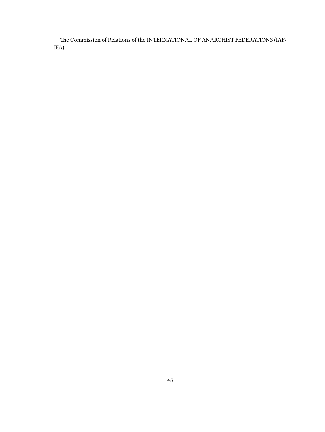The Commission of Relations of the INTERNATIONAL OF ANARCHIST FEDERATIONS (IAF/ IFA)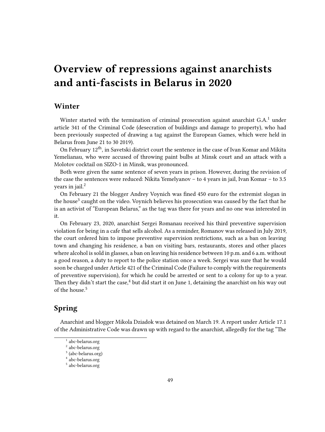## <span id="page-48-0"></span>**Overview of repressions against anarchists and anti-fascists in Belarus in 2020**

## <span id="page-48-1"></span>**Winter**

Winter started with the termination of criminal prosecution against anarchist G.A.<sup>1</sup> under article 341 of the Criminal Code (desecration of buildings and damage to property), who had been previously suspected of drawing a tag against the European Games, which were held in Belarus from June 21 to 30 2019).

On February 12<sup>th</sup>, in Savetski district court the sentence in the case of Ivan Komar and Mikita Yemelianau, who were accused of throwing paint bulbs at Minsk court and an attack with a Molotov cocktail on SIZO-1 in Minsk, was pronounced.

Both were given the same sentence of seven years in prison. However, during the revision of the case the sentences were reduced: Nikita Yemelyanov – to 4 years in jail, Ivan Komar – to 3.5 years in jail. $<sup>2</sup>$ </sup>

On February 21 the blogger Andrey Voynich was fined 450 euro for the extremist slogan in the house<sup>3</sup> caught on the video. Voynich believes his prosecution was caused by the fact that he is an activist of "European Belarus," as the tag was there for years and no one was interested in it.

On February 23, 2020, anarchist Sergei Romanau received his third preventive supervision violation for being in a cafe that sells alcohol. As a reminder, Romanov was released in July 2019, the court ordered him to impose preventive supervision restrictions, such as a ban on leaving town and changing his residence, a ban on visiting bars, restaurants, stores and other places where alcohol is sold in glasses, a ban on leaving his residence between 10 p.m. and 6 a.m. without a good reason, a duty to report to the police station once a week. Sergei was sure that he would soon be charged under Article 421 of the Criminal Code (Failure to comply with the requirements of preventive supervision), for which he could be arrested or sent to a colony for up to a year. Then they didn't start the case,<sup>4</sup> but did start it on June 1, detaining the anarchist on his way out of the house.<sup>5</sup>

## <span id="page-48-2"></span>**Spring**

Anarchist and blogger Mikola Dziadok was detained on March 19. A report under Article 17.1 of the Administrative Code was drawn up with regard to the anarchist, allegedly for the tag "The

<sup>1</sup> [abc-belarus.org](https://abc-belarus.org/?p=12633)

<sup>2</sup> [abc-belarus.org](https://abc-belarus.org/?p=12790)

<sup>&</sup>lt;sup>3</sup> ([abc-belarus.org](https://abc-belarus.org/?p=12762))

<sup>4</sup> [abc-belarus.org](https://abc-belarus.org/?p=12831)

<sup>5</sup> [abc-belarus.org](https://abc-belarus.org/?p=12861)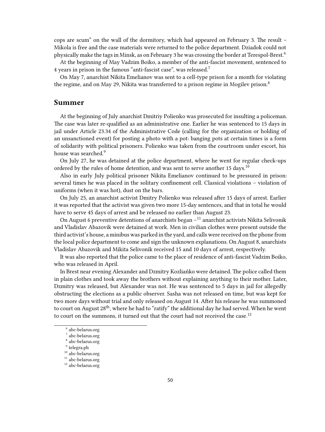cops are scum" on the wall of the dormitory, which had appeared on February 3. The result – Mikola is free and the case materials were returned to the police department. Dziadok could not physically make the tags in Minsk, as on February 3 he was crossing the border at Terespol-Brest.<sup>6</sup>

At the beginning of May Vadzim Boiko, a member of the anti-fascist movement, sentenced to 4 years in prison in the famous "anti-fascist case", was released.<sup>7</sup>

On May 7, anarchist Nikita Emelianov was sent to a cell-type prison for a month for violating the regime, and on May 29, Nikita was transferred to a prison regime in Mogilev prison.<sup>8</sup>

### <span id="page-49-0"></span>**Summer**

At the beginning of July anarchist Dmitriy Polienko was prosecuted for insulting a policeman. The case was later re-qualified as an administrative one. Earlier he was sentenced to 15 days in jail under Article 23.34 of the Administrative Code (calling for the organization or holding of an unsanctioned event) for posting a photo with a pot: banging pots at certain times is a form of solidarity with political prisoners. Polienko was taken from the courtroom under escort, his house was searched.<sup>9</sup>

On July 27, he was detained at the police department, where he went for regular check-ups ordered by the rules of home detention, and was sent to serve another 15 days.<sup>10</sup>

Also in early July political prisoner Nikita Emelianov continued to be pressured in prison: several times he was placed in the solitary confinement cell. Classical violations – violation of uniforms (when it was hot), dust on the bars.

On July 25, an anarchist activist Dmitry Polienko was released after 15 days of arrest. Earlier it was reported that the activist was given two more 15-day sentences, and that in total he would have to serve 45 days of arrest and be released no earlier than August 23.

On August 6 preventive detentions of anarchists began  $-$ <sup>11</sup> anarchist activists Nikita Selivonik and Vladislav Abazovik were detained at work. Men in civilian clothes were present outside the third activist's house, a minibus was parked in the yard, and calls were received on the phone from the local police department to come and sign the unknown explanations. On August 8, anarchists Vladislav Abazovik and Mikita Selivonik received 15 and 10 days of arrest, respectively.

It was also reported that the police came to the place of residence of anti-fascist Vadzim Boiko, who was released in April.

In Brest near evening Alexander and Dzmitry Kozliańko were detained. The police called them in plain clothes and took away the brothers without explaining anything to their mother. Later, Dzmitry was released, but Alexander was not. He was sentenced to 5 days in jail for allegedly obstructing the elections as a public observer. Sasha was not released on time, but was kept for two more days without trial and only released on August 14. After his release he was summoned to court on August 28<sup>th</sup>, where he had to "ratify" the additional day he had served. When he went to court on the summons, it turned out that the court had not received the case.<sup>12</sup>

<sup>6</sup> [abc-belarus.org](https://abc-belarus.org/?p=12786)

<sup>7</sup> [abc-belarus.org](https://abc-belarus.org/?p=12823)

<sup>8</sup> [abc-belarus.org](https://abc-belarus.org/?p=12863)

<sup>9</sup> [telegra.ph](https://telegra.ph/Polienko-07-10)

 $10$ [abc-belarus.org](https://abc-belarus.org/?p=12933)

 $^{11}$ [abc-belarus.org](https://abc-belarus.org/?p=12943)

<sup>12</sup> [abc-belarus.org](https://abc-belarus.org/?p=12947)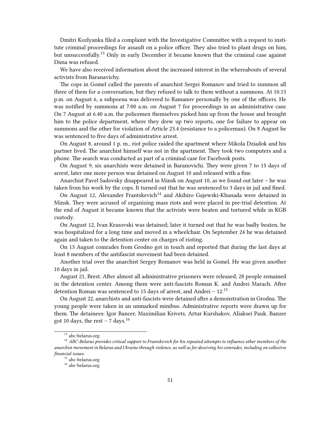Dmitri Kozlyanka filed a complaint with the Investigative Committee with a request to institute criminal proceedings for assault on a police officer. They also tried to plant drugs on him, but unsuccessfully.<sup>13</sup> Only in early December it became known that the criminal case against Dima was refused.

We have also received information about the increased interest in the whereabouts of several activists from Baranavichy.

The cops in Gomel called the parents of anarchist Sergei Romanov and tried to summon all three of them for a conversation, but they refused to talk to them without a summons. At 10.15 p.m. on August 6, a subpoena was delivered to Ramanov personally by one of the officers. He was notified by summons at 7:00 a.m. on August 7 for proceedings in an administrative case. On 7 August at 6.40 a.m. the policemen themselves picked him up from the house and brought him to the police department, where they drew up two reports, one for failure to appear on summons and the other for violation of Article 23.4 (resistance to a policeman). On 8 August he was sentenced to five days of administrative arrest.

On August 8, around 1 p. m., riot police raided the apartment where Mikola Dziadok and his partner lived. The anarchist himself was not in the apartment. They took two computers and a phone. The search was conducted as part of a criminal case for Facebook posts.

On August 9, six anarchists were detained in Baranovichi. They were given 7 to 15 days of arrest, later one more person was detained on August 10 and released with a fine.

Anarchist Pavel Sadovsky disappeared in Minsk on August 10, as we found out later – he was taken from his work by the cops. It turned out that he was sentenced to 3 days in jail and fined.

On August 12, Alexander Frantskevich<sup>14</sup> and Akihiro Gajewski-Khanada were detained in Minsk. They were accused of organizing mass riots and were placed in pre-trial detention. At the end of August it became known that the activists were beaten and tortured while in KGB custody.

On August 12, Ivan Krasovski was detained; later it turned out that he was badly beaten, he was hospitalized for a long time and moved in a wheelchair. On September 24 he was detained again and taken to the detention center on charges of rioting.

On 13 August comrades from Grodno got in touch and reported that during the last days at least 8 members of the antifascist movement had been detained.

Another trial over the anarchist Sergey Romanov was held in Gomel. He was given another 10 days in jail.

August 21, Brest. After almost all administrative prisoners were released, 28 people remained in the detention center. Among them were anti-fascists Roman K. and Andrei Marach. After detention Roman was sentenced to 15 days of arrest, and Andrei –  $12^{15}$ 

On August 22, anarchists and anti-fascists were detained after a demonstration in Grodna. The young people were taken in an unmarked minibus. Administrative reports were drawn up for them. The detainees: Igor Bancer, Maximilian Krivets, Artur Kurshakov, Aliaksei Pauk. Banzer got 10 days, the rest – 7 days.<sup>16</sup>

<sup>&</sup>lt;sup>13</sup> [abc-belarus.org](https://abc-belarus.org/?p=13190)

<sup>14</sup> *ABC-Belarus provides critical support to Frantskevich for his repeated attempts to influence other members of the anarchist movement in Belarus and Ukraine through violence, as well as for deceiving his comrades, including on collective financial issues.*

<sup>&</sup>lt;sup>15</sup> [abc-belarus.org](https://abc-belarus.org/?p=13079)

<sup>16</sup> [abc-belarus.org](https://abc-belarus.org/?p=13099)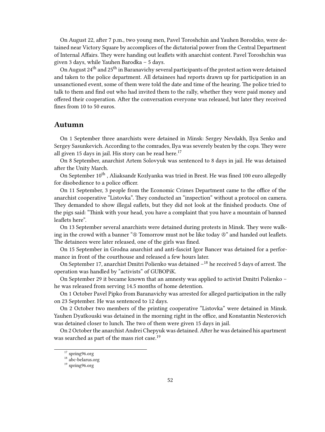On August 22, after 7 p.m., two young men, Pavel Toroshchin and Yauhen Borodzko, were detained near Victory Square by accomplices of the dictatorial power from the Central Department of Internal Affairs. They were handing out leaflets with anarchist content. Pavel Toroshchin was given 3 days, while Yauhen Barodka – 5 days.

On August 24<sup>th</sup> and 25<sup>th</sup> in Baranavichy several participants of the protest action were detained and taken to the police department. All detainees had reports drawn up for participation in an unsanctioned event, some of them were told the date and time of the hearing. The police tried to talk to them and find out who had invited them to the rally, whether they were paid money and offered their cooperation. After the conversation everyone was released, but later they received fines from 10 to 50 euros.

#### <span id="page-51-0"></span>**Autumn**

On 1 September three anarchists were detained in Minsk: Sergey Nevdakh, Ilya Senko and Sergey Sasunkevich. According to the comrades, Ilya was severely beaten by the cops. They were all given 15 days in jail. His story can be read here.<sup>17</sup>

On 8 September, anarchist Artem Solovyuk was sentenced to 8 days in jail. He was detained after the Unity March.

On September 10<sup>th</sup>, Aliaksandr Kozlyanka was tried in Brest. He was fined 100 euro allegedly for disobedience to a police officer.

On 11 September, 3 people from the Economic Crimes Department came to the office of the anarchist cooperative "Listovka". They conducted an "inspection" without a protocol on camera. They demanded to show illegal eaflets, but they did not look at the finished products. One of the pigs said: "Think with your head, you have a complaint that you have a mountain of banned leaflets here".

On 13 September several anarchists were detained during protests in Minsk. They were walking in the crowd with a banner " $\circledast$  Tomorrow must not be like today  $\circledast$ " and handed out leaflets. The detainees were later released, one of the girls was fined.

On 15 September in Grodna anarchist and anti-fascist Igor Bancer was detained for a performance in front of the courthouse and released a few hours later.

On September 17, anarchist Dmitri Polienko was detained  $-$ <sup>18</sup> he received 5 days of arrest. The operation was handled by "activists" of GUBOPiK.

On September 29 it became known that an amnesty was applied to activist Dmitri Polienko – he was released from serving 14.5 months of home detention.

On 1 October Pavel Pipko from Baranavichy was arrested for alleged participation in the rally on 23 September. He was sentenced to 12 days.

On 2 October two members of the printing cooperative "Listovka" were detained in Minsk. Yauhen Dyatkouski was detained in the morning right in the office, and Konstantin Nesterovich was detained closer to lunch. The two of them were given 15 days in jail.

On 2 October the anarchist Andrei Chepyuk was detained. After he was detained his apartment was searched as part of the mass riot case.<sup>19</sup>

 $17$  [spring96.org](http://spring96.org/ru/news/99409)

<sup>18</sup> [abc-belarus.org](https://abc-belarus.org/?p=13164)

<sup>19</sup> [spring96.org](http://spring96.org/ru/news/99932)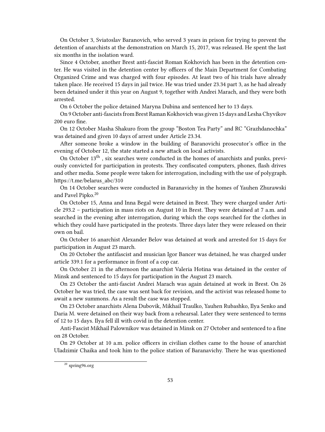On October 3, Sviatoslav Baranovich, who served 3 years in prison for trying to prevent the detention of anarchists at the demonstration on March 15, 2017, was released. He spent the last six months in the isolation ward.

Since 4 October, another Brest anti-fascist Roman Kokhovich has been in the detention center. He was visited in the detention center by officers of the Main Department for Combating Organized Crime and was charged with four episodes. At least two of his trials have already taken place. He received 15 days in jail twice. He was tried under 23.34 part 3, as he had already been detained under it this year on August 9, together with Andrei Marach, and they were both arrested.

On 6 October the police detained Maryna Dubina and sentenced her to 13 days.

On 9 October anti-fascists from Brest Raman Kokhovich was given 15 days and Lesha Chyvikov 200 euro fine.

On 12 October Masha Shakuro from the group "Boston Tea Party" and RC "Grazhdanochka" was detained and given 10 days of arrest under Article 23.34.

After someone broke a window in the building of Baranovichi prosecutor's office in the evening of October 12, the state started a new attack on local activists.

On October 13<sup>th</sup>, six searches were conducted in the homes of anarchists and punks, previously convicted for participation in protests. They confiscated computers, phones, flash drives and other media. Some people were taken for interrogation, including with the use of polygraph. https://t.me/belarus\_abc/310

On 14 October searches were conducted in Baranavichy in the homes of Yauhen Zhurawski and Pavel Pipko.<sup>20</sup>

On October 15, Anna and Inna Begal were detained in Brest. They were charged under Article 293.2 – participation in mass riots on August 10 in Brest. They were detained at 7 a.m. and searched in the evening after interrogation, during which the cops searched for the clothes in which they could have participated in the protests. Three days later they were released on their own on bail.

On October 16 anarchist Alexander Belov was detained at work and arrested for 15 days for participation in August 23 march.

On 20 October the antifascist and musician Igor Bancer was detained, he was charged under article 339.1 for a performance in front of a cop car.

On October 21 in the afternoon the anarchist Valeria Hotina was detained in the center of Minsk and sentenced to 15 days for participation in the August 23 march.

On 23 October the anti-fascist Andrei Marach was again detained at work in Brest. On 26 October he was tried, the case was sent back for revision, and the activist was released home to await a new summons. As a result the case was stopped.

On 23 October anarchists Alena Dubovik, Mikhail Traulko, Yauhen Rubashko, Ilya Senko and Daria M. were detained on their way back from a rehearsal. Later they were sentenced to terms of 12 to 15 days. Ilya fell ill with covid in the detention center.

Anti-Fascist Mikhail Palownikov was detained in Minsk on 27 October and sentenced to a fine on 28 October.

On 29 October at 10 a.m. police officers in civilian clothes came to the house of anarchist Uladzimir Chaika and took him to the police station of Baranavichy. There he was questioned

 $20$  [spring96.org](https://spring96.org/ru/news/99970)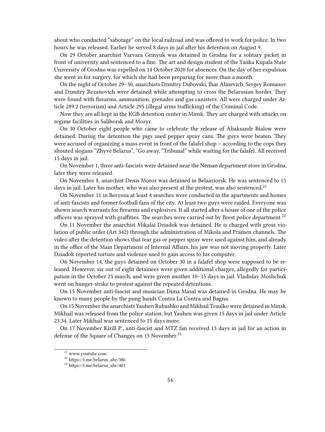about who conducted "sabotage" on the local railroad and was offered to work for police. In two hours he was released. Earlier he served 8 days in jail after his detention on August 9.

On 29 October anarchist Varvara Grinyuk was detained in Grodna for a solitary picket in front of university and sentenced to a fine. The art and design student of the Yanka Kupala State University of Grodno was expelled on 14 October 2020 for absences. On the day of her expulsion she went in for surgery, for which she had been preparing for more than a month.

On the night of October 29–30, anarchists Dzmitry Dubovski, Ihar Alinevich, Sergey Romanov and Dzmitry Rezanovich were detained while attempting to cross the Belarusian border. They were found with firearms, ammunition, grenades and gas canisters. All were charged under Article 289.2 (terrorism) and Article 295 (illegal arms trafficking) of the Criminal Code.

Now they are all kept in the KGB detention center in Minsk. They are charged with attacks on regime facilities in Salihorsk and Mozyr.

On 30 October eight people who came to celebrate the release of Aliaksandr Bialow were detained. During the detention the pigs used pepper spray cans. The guys were beaten. They were accused of organizing a mass event in front of the falafel shop – according to the cops they shouted slogans "Zhyve Belarus", "Go away, "Tribunal" while waiting for the falafel. All received 15 days in jail.

On November 1, three anti-fascists were detained near the Neman department store in Grodna, later they were released.

On November 8, anarchist Denis Moroz was detained in Belaaziorsk. He was sentenced to 15 days in jail. Later his mother, who was also present at the protest, was also sentenced.<sup>21</sup>

On November 11 in Beryoza at least 4 searches were conducted in the apartments and homes of anti-fascists and former football fans of the city. At least two guys were raided. Everyone was shown search warrants for firearms and explosives. It all started after a house of one of the police officers was sprayed with graffities. The searches were carried out by Brest police department.<sup>22</sup>

On 11 November the anarchist Mikalai Dziadok was detained. He is charged with gross violation of public order (Art 342) through the administration of Mikola and Pramen channels. The video after the detention shows that tear gas or pepper spray were used against him, and already in the office of the Main Department of Internal Affairs, his jaw was not moving properly. Later Dziadok reported torture and violence used to gain access to his computer.

On November 14, the guys detained on October 30 in a falafel shop were supposed to be released. However, six out of eight detainees were given additional charges, allegedly for participation in the October 25 march, and were given another 10–15 days in jail. Vladislav Moshchuk went on hunger-strike to protest against the repeated detentions.

On 15 November anti-fascist and musician Dima Masal was detained in Grodna. He may be known to many people by the pung bands Contra La Contra and Bagna.

On 15 November the anarchists Yauhen Rubashko and Mikhail Traulko were detained in Minsk. Mikhail was released from the police station, but Yauhen was given 15 days in jail under Article 23.34. Later Mikhail was sentenced to 15 days more.

On 17 November Kirill P., anti-fascist and MTZ fan received 13 days in jail for an action in defense of the Square of Changes on 15 November.<sup>23</sup>

<sup>21</sup> [www.youtube.com](https://www.youtube.com/watch?v=bC6NygnPOT4&t)

<sup>22</sup> https://t.me/belarus\_abc/386

<sup>23</sup> https://t.me/belarus\_abc/401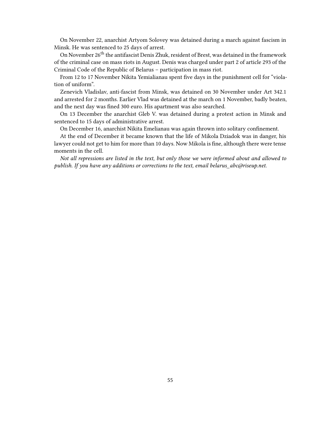On November 22, anarchist Artyom Solovey was detained during a march against fascism in Minsk. He was sentenced to 25 days of arrest.

On November 26<sup>th</sup> the antifascist Denis Zhuk, resident of Brest, was detained in the framework of the criminal case on mass riots in August. Denis was charged under part 2 of article 293 of the Criminal Code of the Republic of Belarus – participation in mass riot.

From 12 to 17 November Nikita Yemialianau spent five days in the punishment cell for "violation of uniform".

Zenevich Vladislav, anti-fascist from Minsk, was detained on 30 November under Art 342.1 and arrested for 2 months. Earlier Vlad was detained at the march on 1 November, badly beaten, and the next day was fined 300 euro. His apartment was also searched.

On 13 December the anarchist Gleb V. was detained during a protest action in Minsk and sentenced to 15 days of administrative arrest.

On December 16, anarchist Nikita Emelianau was again thrown into solitary confinement.

At the end of December it became known that the life of Mikola Dziadok was in danger, his lawyer could not get to him for more than 10 days. Now Mikola is fine, although there were tense moments in the cell.

*Not all repressions are listed in the text, but only those we were informed about and allowed to publish. If you have any additions or corrections to the text, email belarus\_abc@riseup.net.*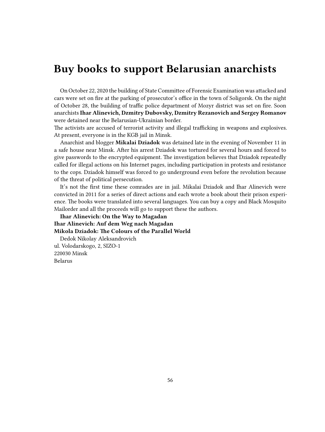## <span id="page-55-0"></span>**Buy books to support Belarusian anarchists**

On October 22, 2020 the building of State Committee of Forensic Examination was attacked and cars were set on fire at the parking of prosecutor's office in the town of Soligorsk. On the night of October 28, the building of traffic police department of Mozyr district was set on fire. Soon anarchists**Ihar Alinevich, Dzmitry Dubovsky, Dzmitry Rezanovich and Sergey Romanov** were detained near the Belarusian-Ukrainian border.

The activists are accused of terrorist activity and illegal trafficking in weapons and explosives. At present, everyone is in the KGB jail in Minsk.

Anarchist and blogger **Mikalai Dziadok** was detained late in the evening of November 11 in a safe house near Minsk. After his arrest Dziadok was tortured for several hours and forced to give passwords to the encrypted equipment. The investigation believes that Dziadok repeatedly called for illegal actions on his Internet pages, including participation in protests and resistance to the cops. Dziadok himself was forced to go underground even before the revolution because of the threat of political persecution.

It's not the first time these comrades are in jail. Mikalai Dziadok and Ihar Alinevich were convicted in 2011 for a series of direct actions and each wrote a book about their prison experience. The books were translated into several languages. You can buy a copy and Black Mosquito Mailorder and all the proceeds will go to support these the authors.

**[Ihar Alinevich: On the Way to Magadan](https://black-mosquito.org/de/ihar-alinevich-on-the-way-to-magadan.html) [Ihar Alinevich: Auf dem Weg nach Magadan](https://black-mosquito.org/de/ihaz-alinevich-auf-dem-weg-nach-magadan.html.html) [Mikola Dziadok: The Colours of the Parallel World](https://black-mosquito.org/de/mikola-dziadok-the-colours-of-the-parallel-world.html)** Dedok Nikolay Aleksandrovich ul. Volodarskogo, 2, SIZO-1 220030 Minsk

Belarus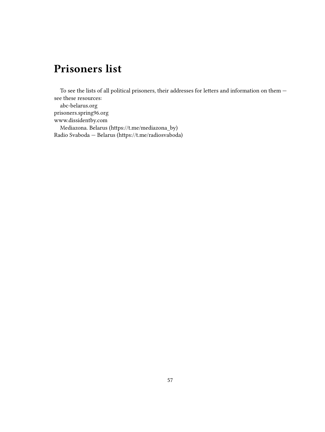# <span id="page-56-0"></span>**Prisoners list**

To see the lists of all political prisoners, their addresses for letters and information on them  $$ see these resources: [abc-belarus.org](https://abc-belarus.org/) [prisoners.spring96.org](https://prisoners.spring96.org/) [www.dissidentby.com](http://www.dissidentby.com/) Mediazona. Belarus (https://t.me/mediazona\_by) Radio Svaboda — Belarus (https://t.me/radiosvaboda)